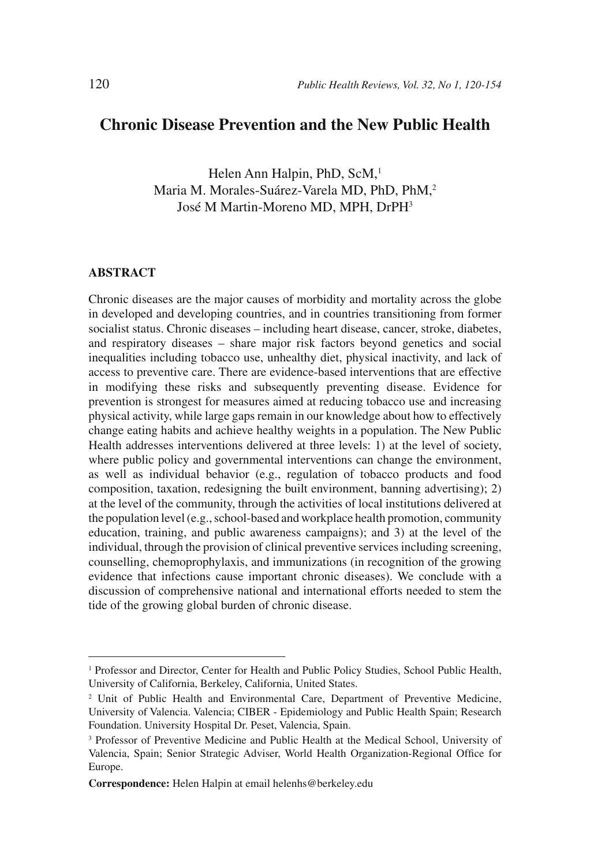## **Chronic Disease Prevention and the New Public Health**

Helen Ann Halpin, PhD, ScM,<sup>1</sup> Maria M. Morales-Suárez-Varela MD, PhD, PhM.<sup>2</sup> José M Martin-Moreno MD, MPH, DrPH3

#### **ABSTRACT**

Chronic diseases are the major causes of morbidity and mortality across the globe in developed and developing countries, and in countries transitioning from former socialist status. Chronic diseases – including heart disease, cancer, stroke, diabetes, and respiratory diseases – share major risk factors beyond genetics and social inequalities including tobacco use, unhealthy diet, physical inactivity, and lack of access to preventive care. There are evidence-based interventions that are effective in modifying these risks and subsequently preventing disease. Evidence for prevention is strongest for measures aimed at reducing tobacco use and increasing physical activity, while large gaps remain in our knowledge about how to effectively change eating habits and achieve healthy weights in a population. The New Public Health addresses interventions delivered at three levels: 1) at the level of society, where public policy and governmental interventions can change the environment, as well as individual behavior (e.g., regulation of tobacco products and food composition, taxation, redesigning the built environment, banning advertising); 2) at the level of the community, through the activities of local institutions delivered at the population level (e.g., school-based and workplace health promotion, community education, training, and public awareness campaigns); and 3) at the level of the individual, through the provision of clinical preventive services including screening, counselling, chemoprophylaxis, and immunizations (in recognition of the growing evidence that infections cause important chronic diseases). We conclude with a discussion of comprehensive national and international efforts needed to stem the tide of the growing global burden of chronic disease.

<sup>1</sup> Professor and Director, Center for Health and Public Policy Studies, School Public Health, University of California, Berkeley, California, United States.

<sup>&</sup>lt;sup>2</sup> Unit of Public Health and Environmental Care, Department of Preventive Medicine, University of Valencia. Valencia; CIBER - Epidemiology and Public Health Spain; Research Foundation. University Hospital Dr. Peset, Valencia, Spain.

<sup>3</sup> Professor of Preventive Medicine and Public Health at the Medical School, University of Valencia, Spain; Senior Strategic Adviser, World Health Organization-Regional Office for Europe.

**Correspondence:** Helen Halpin at email helenhs@berkeley.edu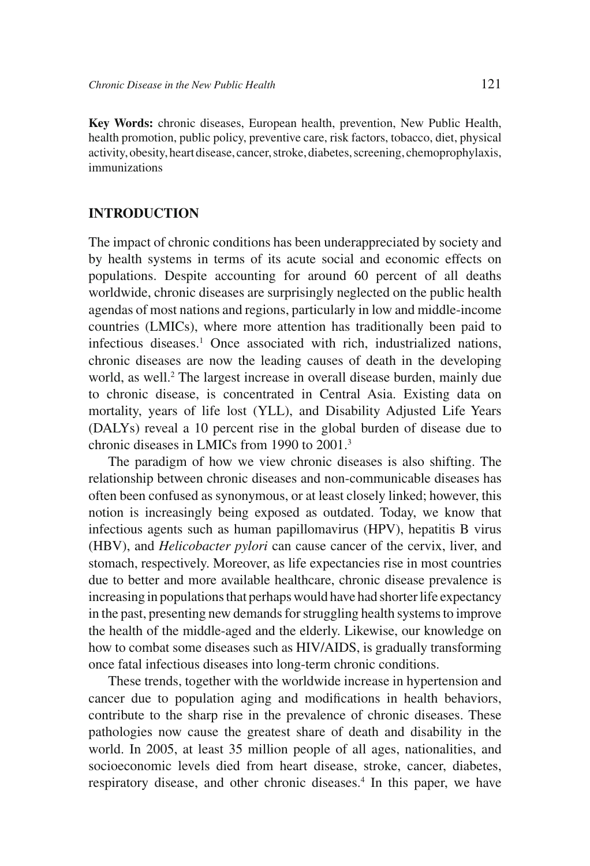**Key Words:** chronic diseases, European health, prevention, New Public Health, health promotion, public policy, preventive care, risk factors, tobacco, diet, physical activity, obesity, heart disease, cancer, stroke, diabetes, screening, chemoprophylaxis, immunizations

## **INTRODUCTION**

The impact of chronic conditions has been underappreciated by society and by health systems in terms of its acute social and economic effects on populations. Despite accounting for around 60 percent of all deaths worldwide, chronic diseases are surprisingly neglected on the public health agendas of most nations and regions, particularly in low and middle-income countries (LMICs), where more attention has traditionally been paid to infectious diseases.1 Once associated with rich, industrialized nations, chronic diseases are now the leading causes of death in the developing world, as well.<sup>2</sup> The largest increase in overall disease burden, mainly due to chronic disease, is concentrated in Central Asia. Existing data on mortality, years of life lost (YLL), and Disability Adjusted Life Years (DALYs) reveal a 10 percent rise in the global burden of disease due to chronic diseases in LMICs from 1990 to 2001.3

The paradigm of how we view chronic diseases is also shifting. The relationship between chronic diseases and non-communicable diseases has often been confused as synonymous, or at least closely linked; however, this notion is increasingly being exposed as outdated. Today, we know that infectious agents such as human papillomavirus (HPV), hepatitis B virus (HBV), and *Helicobacter pylori* can cause cancer of the cervix, liver, and stomach, respectively. Moreover, as life expectancies rise in most countries due to better and more available healthcare, chronic disease prevalence is increasing in populations that perhaps would have had shorter life expectancy in the past, presenting new demands for struggling health systems to improve the health of the middle-aged and the elderly. Likewise, our knowledge on how to combat some diseases such as HIV/AIDS, is gradually transforming once fatal infectious diseases into long-term chronic conditions.

These trends, together with the worldwide increase in hypertension and cancer due to population aging and modifications in health behaviors, contribute to the sharp rise in the prevalence of chronic diseases. These pathologies now cause the greatest share of death and disability in the world. In 2005, at least 35 million people of all ages, nationalities, and socioeconomic levels died from heart disease, stroke, cancer, diabetes, respiratory disease, and other chronic diseases.<sup>4</sup> In this paper, we have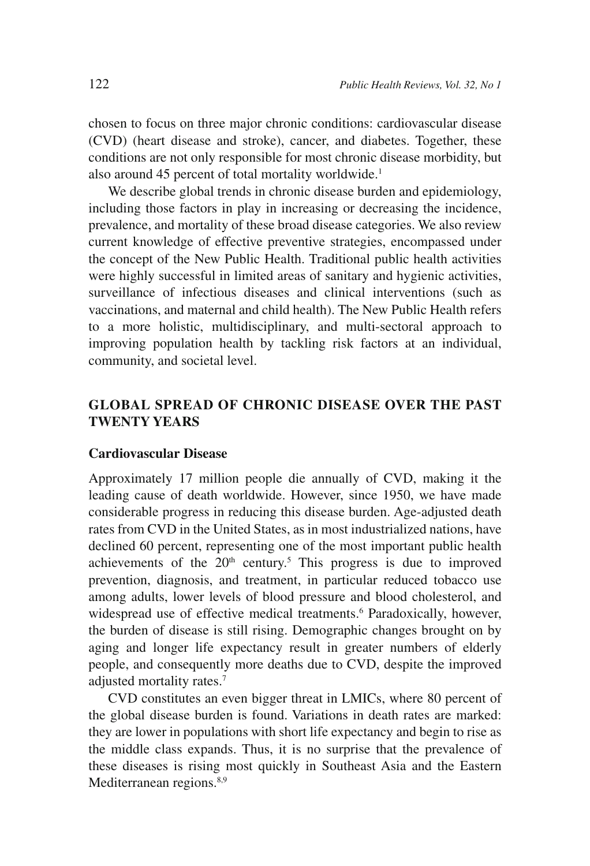chosen to focus on three major chronic conditions: cardiovascular disease (CVD) (heart disease and stroke), cancer, and diabetes. Together, these conditions are not only responsible for most chronic disease morbidity, but also around 45 percent of total mortality worldwide.<sup>1</sup>

We describe global trends in chronic disease burden and epidemiology, including those factors in play in increasing or decreasing the incidence, prevalence, and mortality of these broad disease categories. We also review current knowledge of effective preventive strategies, encompassed under the concept of the New Public Health. Traditional public health activities were highly successful in limited areas of sanitary and hygienic activities, surveillance of infectious diseases and clinical interventions (such as vaccinations, and maternal and child health). The New Public Health refers to a more holistic, multidisciplinary, and multi-sectoral approach to improving population health by tackling risk factors at an individual, community, and societal level.

# **GLOBAL SPREAD OF CHRONIC DISEASE OVER THE PAST TWENTY YEARS**

#### **Cardiovascular Disease**

Approximately 17 million people die annually of CVD, making it the leading cause of death worldwide. However, since 1950, we have made considerable progress in reducing this disease burden. Age-adjusted death rates from CVD in the United States, as in most industrialized nations, have declined 60 percent, representing one of the most important public health achievements of the  $20<sup>th</sup>$  century.<sup>5</sup> This progress is due to improved prevention, diagnosis, and treatment, in particular reduced tobacco use among adults, lower levels of blood pressure and blood cholesterol, and widespread use of effective medical treatments.<sup>6</sup> Paradoxically, however, the burden of disease is still rising. Demographic changes brought on by aging and longer life expectancy result in greater numbers of elderly people, and consequently more deaths due to CVD, despite the improved adjusted mortality rates.7

CVD constitutes an even bigger threat in LMICs, where 80 percent of the global disease burden is found. Variations in death rates are marked: they are lower in populations with short life expectancy and begin to rise as the middle class expands. Thus, it is no surprise that the prevalence of these diseases is rising most quickly in Southeast Asia and the Eastern Mediterranean regions.<sup>8,9</sup>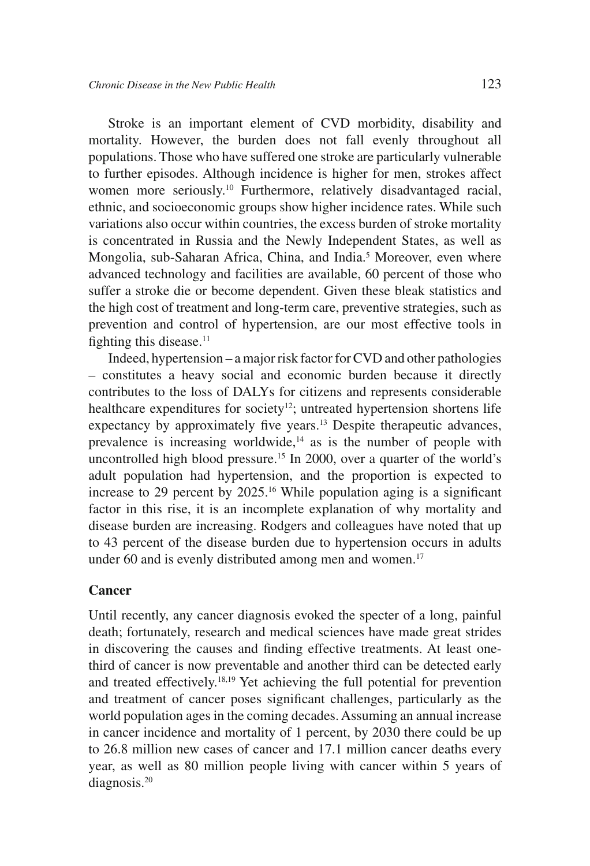Stroke is an important element of CVD morbidity, disability and mortality. However, the burden does not fall evenly throughout all populations. Those who have suffered one stroke are particularly vulnerable to further episodes. Although incidence is higher for men, strokes affect women more seriously.<sup>10</sup> Furthermore, relatively disadvantaged racial, ethnic, and socioeconomic groups show higher incidence rates. While such variations also occur within countries, the excess burden of stroke mortality is concentrated in Russia and the Newly Independent States, as well as Mongolia, sub-Saharan Africa, China, and India.<sup>5</sup> Moreover, even where advanced technology and facilities are available, 60 percent of those who suffer a stroke die or become dependent. Given these bleak statistics and the high cost of treatment and long-term care, preventive strategies, such as prevention and control of hypertension, are our most effective tools in fighting this disease. $11$ 

Indeed, hypertension – a major risk factor for CVD and other pathologies – constitutes a heavy social and economic burden because it directly contributes to the loss of DALYs for citizens and represents considerable healthcare expenditures for society<sup>12</sup>; untreated hypertension shortens life expectancy by approximately five years.<sup>13</sup> Despite therapeutic advances, prevalence is increasing worldwide, $14$  as is the number of people with uncontrolled high blood pressure.15 In 2000, over a quarter of the world's adult population had hypertension, and the proportion is expected to increase to 29 percent by  $2025$ .<sup>16</sup> While population aging is a significant factor in this rise, it is an incomplete explanation of why mortality and disease burden are increasing. Rodgers and colleagues have noted that up to 43 percent of the disease burden due to hypertension occurs in adults under 60 and is evenly distributed among men and women.<sup>17</sup>

#### **Cancer**

Until recently, any cancer diagnosis evoked the specter of a long, painful death; fortunately, research and medical sciences have made great strides in discovering the causes and finding effective treatments. At least onethird of cancer is now preventable and another third can be detected early and treated effectively.18,19 Yet achieving the full potential for prevention and treatment of cancer poses significant challenges, particularly as the world population ages in the coming decades. Assuming an annual increase in cancer incidence and mortality of 1 percent, by 2030 there could be up to 26.8 million new cases of cancer and 17.1 million cancer deaths every year, as well as 80 million people living with cancer within 5 years of diagnosis.20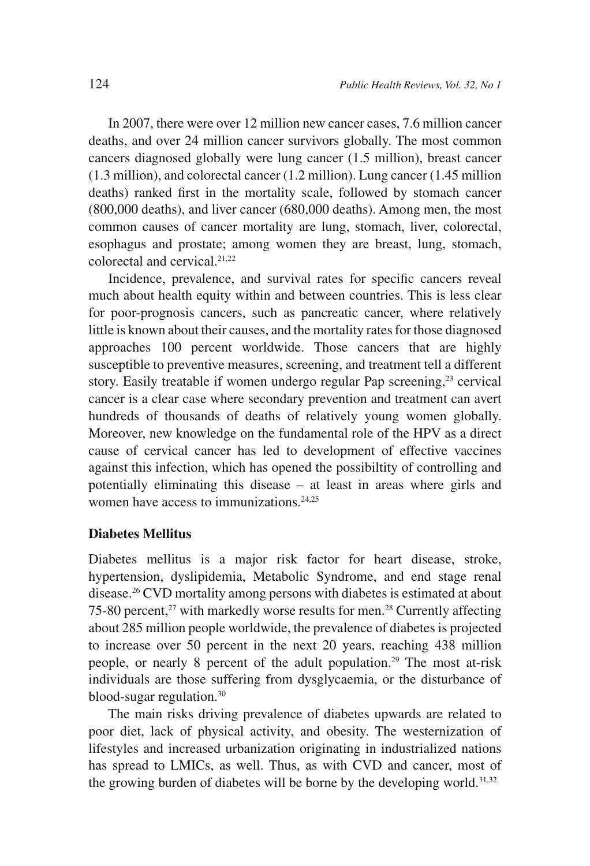In 2007, there were over 12 million new cancer cases, 7.6 million cancer deaths, and over 24 million cancer survivors globally. The most common cancers diagnosed globally were lung cancer (1.5 million), breast cancer (1.3 million), and colorectal cancer (1.2 million). Lung cancer (1.45 million deaths) ranked first in the mortality scale, followed by stomach cancer (800,000 deaths), and liver cancer (680,000 deaths). Among men, the most common causes of cancer mortality are lung, stomach, liver, colorectal, esophagus and prostate; among women they are breast, lung, stomach, colorectal and cervical<sup>21,22</sup>

Incidence, prevalence, and survival rates for specific cancers reveal much about health equity within and between countries. This is less clear for poor-prognosis cancers, such as pancreatic cancer, where relatively little is known about their causes, and the mortality rates for those diagnosed approaches 100 percent worldwide. Those cancers that are highly susceptible to preventive measures, screening, and treatment tell a different story. Easily treatable if women undergo regular Pap screening,<sup>23</sup> cervical cancer is a clear case where secondary prevention and treatment can avert hundreds of thousands of deaths of relatively young women globally. Moreover, new knowledge on the fundamental role of the HPV as a direct cause of cervical cancer has led to development of effective vaccines against this infection, which has opened the possibiltity of controlling and potentially eliminating this disease – at least in areas where girls and women have access to immunizations.<sup>24,25</sup>

#### **Diabetes Mellitus**

Diabetes mellitus is a major risk factor for heart disease, stroke, hypertension, dyslipidemia, Metabolic Syndrome, and end stage renal disease.26 CVD mortality among persons with diabetes is estimated at about 75-80 percent,<sup>27</sup> with markedly worse results for men.<sup>28</sup> Currently affecting about 285 million people worldwide, the prevalence of diabetes is projected to increase over 50 percent in the next 20 years, reaching 438 million people, or nearly 8 percent of the adult population.29 The most at-risk individuals are those suffering from dysglycaemia, or the disturbance of blood-sugar regulation.30

The main risks driving prevalence of diabetes upwards are related to poor diet, lack of physical activity, and obesity. The westernization of lifestyles and increased urbanization originating in industrialized nations has spread to LMICs, as well. Thus, as with CVD and cancer, most of the growing burden of diabetes will be borne by the developing world.<sup>31,32</sup>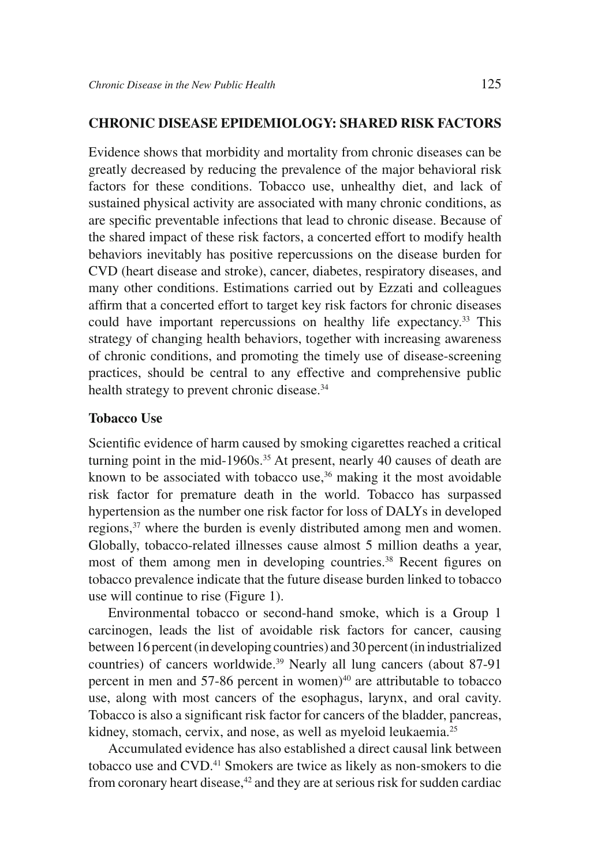### **CHRONIC DISEASE EPIDEMIOLOGY: SHARED RISK FACTORS**

Evidence shows that morbidity and mortality from chronic diseases can be greatly decreased by reducing the prevalence of the major behavioral risk factors for these conditions. Tobacco use, unhealthy diet, and lack of sustained physical activity are associated with many chronic conditions, as are specific preventable infections that lead to chronic disease. Because of the shared impact of these risk factors, a concerted effort to modify health behaviors inevitably has positive repercussions on the disease burden for CVD (heart disease and stroke), cancer, diabetes, respiratory diseases, and many other conditions. Estimations carried out by Ezzati and colleagues affirm that a concerted effort to target key risk factors for chronic diseases could have important repercussions on healthy life expectancy.<sup>33</sup> This strategy of changing health behaviors, together with increasing awareness of chronic conditions, and promoting the timely use of disease-screening practices, should be central to any effective and comprehensive public health strategy to prevent chronic disease.<sup>34</sup>

#### **Tobacco Use**

Scientific evidence of harm caused by smoking cigarettes reached a critical turning point in the mid-1960s.<sup>35</sup> At present, nearly 40 causes of death are known to be associated with tobacco use,<sup>36</sup> making it the most avoidable risk factor for premature death in the world. Tobacco has surpassed hypertension as the number one risk factor for loss of DALYs in developed regions,<sup>37</sup> where the burden is evenly distributed among men and women. Globally, tobacco-related illnesses cause almost 5 million deaths a year, most of them among men in developing countries.<sup>38</sup> Recent figures on tobacco prevalence indicate that the future disease burden linked to tobacco use will continue to rise (Figure 1).

Environmental tobacco or second-hand smoke, which is a Group 1 carcinogen, leads the list of avoidable risk factors for cancer, causing between 16 percent (in developing countries) and 30 percent (in industrialized countries) of cancers worldwide.<sup>39</sup> Nearly all lung cancers (about 87-91) percent in men and  $57-86$  percent in women) $40$  are attributable to tobacco use, along with most cancers of the esophagus, larynx, and oral cavity. Tobacco is also a significant risk factor for cancers of the bladder, pancreas, kidney, stomach, cervix, and nose, as well as myeloid leukaemia.<sup>25</sup>

Accumulated evidence has also established a direct causal link between tobacco use and CVD.41 Smokers are twice as likely as non-smokers to die from coronary heart disease,  $42$  and they are at serious risk for sudden cardiac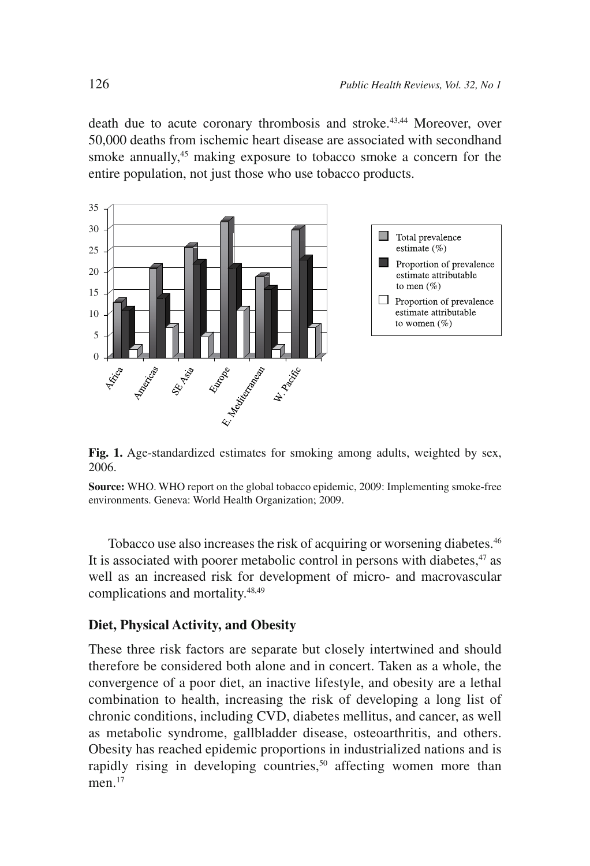death due to acute coronary thrombosis and stroke.43,44 Moreover, over 50,000 deaths from ischemic heart disease are associated with secondhand smoke annually,<sup>45</sup> making exposure to tobacco smoke a concern for the entire population, not just those who use tobacco products.



**Fig. 1.** Age-standardized estimates for smoking among adults, weighted by sex, 2006.

**Source:** WHO. WHO report on the global tobacco epidemic, 2009: Implementing smoke-free environments. Geneva: World Health Organization; 2009.

Tobacco use also increases the risk of acquiring or worsening diabetes.<sup>46</sup> It is associated with poorer metabolic control in persons with diabetes, $47$  as well as an increased risk for development of micro- and macrovascular complications and mortality.48,49

#### **Diet, Physical Activity, and Obesity**

These three risk factors are separate but closely intertwined and should therefore be considered both alone and in concert. Taken as a whole, the convergence of a poor diet, an inactive lifestyle, and obesity are a lethal combination to health, increasing the risk of developing a long list of chronic conditions, including CVD, diabetes mellitus, and cancer, as well as metabolic syndrome, gallbladder disease, osteoarthritis, and others. Obesity has reached epidemic proportions in industrialized nations and is rapidly rising in developing countries,<sup>50</sup> affecting women more than men<sup>17</sup>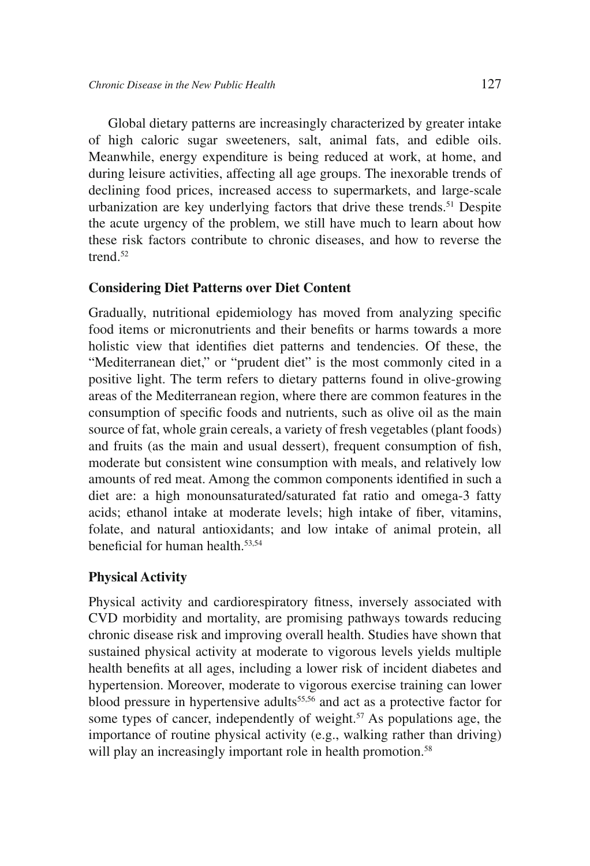Global dietary patterns are increasingly characterized by greater intake of high caloric sugar sweeteners, salt, animal fats, and edible oils. Meanwhile, energy expenditure is being reduced at work, at home, and during leisure activities, affecting all age groups. The inexorable trends of declining food prices, increased access to supermarkets, and large-scale urbanization are key underlying factors that drive these trends.<sup>51</sup> Despite the acute urgency of the problem, we still have much to learn about how these risk factors contribute to chronic diseases, and how to reverse the trend.<sup>52</sup>

#### **Considering Diet Patterns over Diet Content**

Gradually, nutritional epidemiology has moved from analyzing specific food items or micronutrients and their benefits or harms towards a more holistic view that identifies diet patterns and tendencies. Of these, the "Mediterranean diet," or "prudent diet" is the most commonly cited in a positive light. The term refers to dietary patterns found in olive-growing areas of the Mediterranean region, where there are common features in the consumption of specific foods and nutrients, such as olive oil as the main source of fat, whole grain cereals, a variety of fresh vegetables (plant foods) and fruits (as the main and usual dessert), frequent consumption of fish, moderate but consistent wine consumption with meals, and relatively low amounts of red meat. Among the common components identified in such a diet are: a high monounsaturated/saturated fat ratio and omega-3 fatty acids; ethanol intake at moderate levels; high intake of fiber, vitamins, folate, and natural antioxidants; and low intake of animal protein, all beneficial for human health. $53,54$ 

### **Physical Activity**

Physical activity and cardiorespiratory fitness, inversely associated with CVD morbidity and mortality, are promising pathways towards reducing chronic disease risk and improving overall health. Studies have shown that sustained physical activity at moderate to vigorous levels yields multiple health benefits at all ages, including a lower risk of incident diabetes and hypertension. Moreover, moderate to vigorous exercise training can lower blood pressure in hypertensive adults<sup>55,56</sup> and act as a protective factor for some types of cancer, independently of weight.<sup>57</sup> As populations age, the importance of routine physical activity (e.g., walking rather than driving) will play an increasingly important role in health promotion.<sup>58</sup>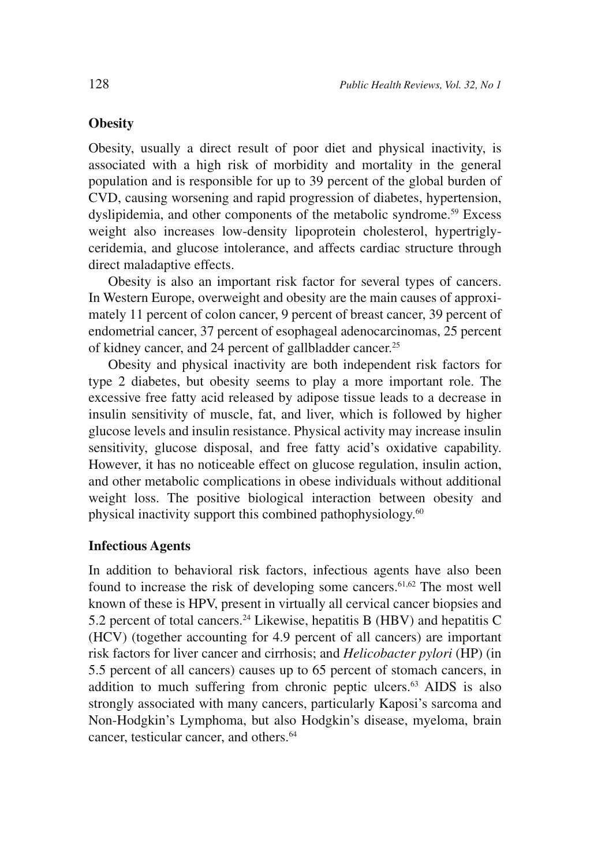### **Obesity**

Obesity, usually a direct result of poor diet and physical inactivity, is associated with a high risk of morbidity and mortality in the general population and is responsible for up to 39 percent of the global burden of CVD, causing worsening and rapid progression of diabetes, hypertension, dyslipidemia, and other components of the metabolic syndrome.<sup>59</sup> Excess weight also increases low-density lipoprotein cholesterol, hypertriglyceridemia, and glucose intolerance, and affects cardiac structure through direct maladaptive effects.

Obesity is also an important risk factor for several types of cancers. In Western Europe, overweight and obesity are the main causes of approximately 11 percent of colon cancer, 9 percent of breast cancer, 39 percent of endometrial cancer, 37 percent of esophageal adenocarcinomas, 25 percent of kidney cancer, and 24 percent of gallbladder cancer.<sup>25</sup>

Obesity and physical inactivity are both independent risk factors for type 2 diabetes, but obesity seems to play a more important role. The excessive free fatty acid released by adipose tissue leads to a decrease in insulin sensitivity of muscle, fat, and liver, which is followed by higher glucose levels and insulin resistance. Physical activity may increase insulin sensitivity, glucose disposal, and free fatty acid's oxidative capability. However, it has no noticeable effect on glucose regulation, insulin action, and other metabolic complications in obese individuals without additional weight loss. The positive biological interaction between obesity and physical inactivity support this combined pathophysiology.<sup>60</sup>

#### **Infectious Agents**

In addition to behavioral risk factors, infectious agents have also been found to increase the risk of developing some cancers.<sup>61,62</sup> The most well known of these is HPV, present in virtually all cervical cancer biopsies and 5.2 percent of total cancers.24 Likewise, hepatitis B (HBV) and hepatitis C (HCV) (together accounting for 4.9 percent of all cancers) are important risk factors for liver cancer and cirrhosis; and *Helicobacter pylori* (HP) (in 5.5 percent of all cancers) causes up to 65 percent of stomach cancers, in addition to much suffering from chronic peptic ulcers.<sup>63</sup> AIDS is also strongly associated with many cancers, particularly Kaposi's sarcoma and Non-Hodgkin's Lymphoma, but also Hodgkin's disease, myeloma, brain cancer, testicular cancer, and others.<sup>64</sup>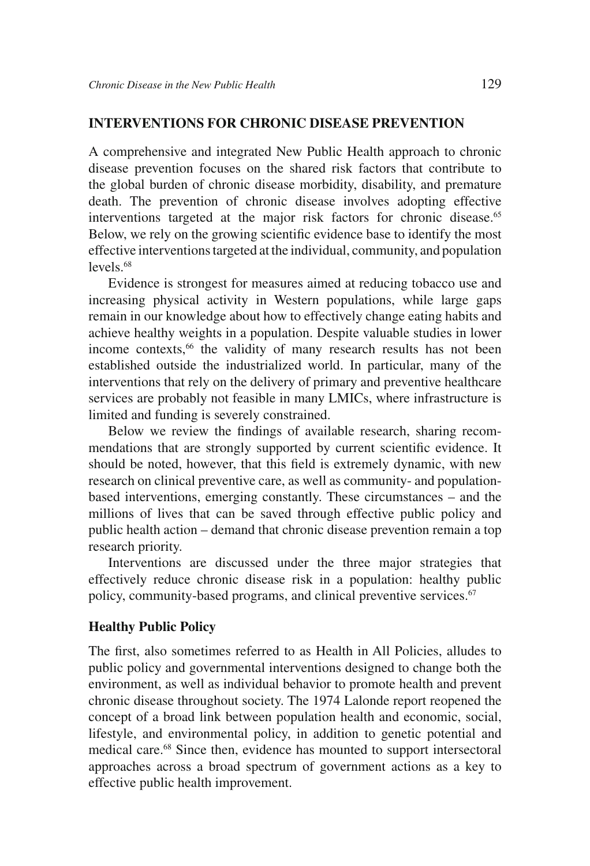#### **INTERVENTIONS FOR CHRONIC DISEASE PREVENTION**

A comprehensive and integrated New Public Health approach to chronic disease prevention focuses on the shared risk factors that contribute to the global burden of chronic disease morbidity, disability, and premature death. The prevention of chronic disease involves adopting effective interventions targeted at the major risk factors for chronic disease.<sup>65</sup> Below, we rely on the growing scientific evidence base to identify the most effective interventions targeted at the individual, community, and population levels.<sup>68</sup>

Evidence is strongest for measures aimed at reducing tobacco use and increasing physical activity in Western populations, while large gaps remain in our knowledge about how to effectively change eating habits and achieve healthy weights in a population. Despite valuable studies in lower income contexts,<sup>66</sup> the validity of many research results has not been established outside the industrialized world. In particular, many of the interventions that rely on the delivery of primary and preventive healthcare services are probably not feasible in many LMICs, where infrastructure is limited and funding is severely constrained.

Below we review the findings of available research, sharing recommendations that are strongly supported by current scientific evidence. It should be noted, however, that this field is extremely dynamic, with new research on clinical preventive care, as well as community- and populationbased interventions, emerging constantly. These circumstances – and the millions of lives that can be saved through effective public policy and public health action – demand that chronic disease prevention remain a top research priority.

Interventions are discussed under the three major strategies that effectively reduce chronic disease risk in a population: healthy public policy, community-based programs, and clinical preventive services.<sup>67</sup>

#### **Healthy Public Policy**

The first, also sometimes referred to as Health in All Policies, alludes to public policy and governmental interventions designed to change both the environment, as well as individual behavior to promote health and prevent chronic disease throughout society. The 1974 Lalonde report reopened the concept of a broad link between population health and economic, social, lifestyle, and environmental policy, in addition to genetic potential and medical care.<sup>68</sup> Since then, evidence has mounted to support intersectoral approaches across a broad spectrum of government actions as a key to effective public health improvement.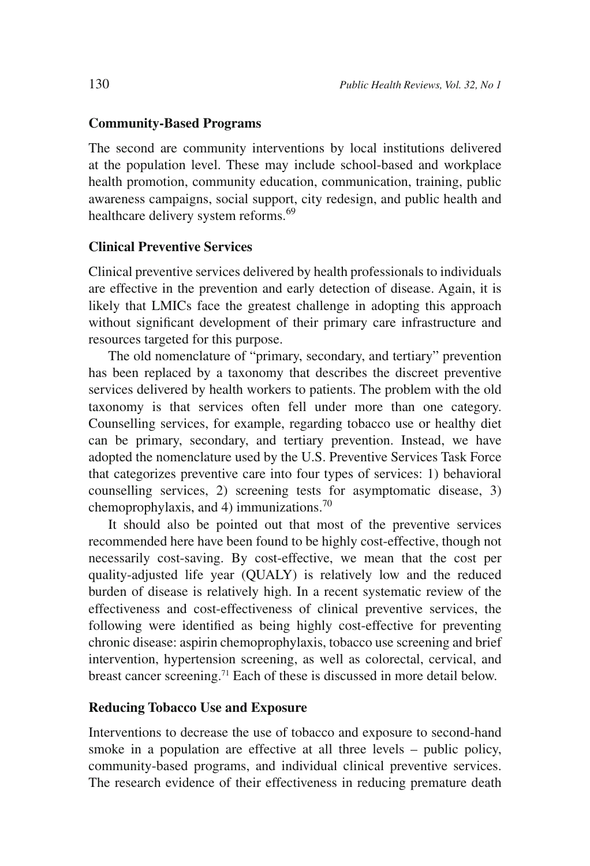#### **Community-Based Programs**

The second are community interventions by local institutions delivered at the population level. These may include school-based and workplace health promotion, community education, communication, training, public awareness campaigns, social support, city redesign, and public health and healthcare delivery system reforms.<sup>69</sup>

#### **Clinical Preventive Services**

Clinical preventive services delivered by health professionals to individuals are effective in the prevention and early detection of disease. Again, it is likely that LMICs face the greatest challenge in adopting this approach without significant development of their primary care infrastructure and resources targeted for this purpose.

The old nomenclature of "primary, secondary, and tertiary" prevention has been replaced by a taxonomy that describes the discreet preventive services delivered by health workers to patients. The problem with the old taxonomy is that services often fell under more than one category. Counselling services, for example, regarding tobacco use or healthy diet can be primary, secondary, and tertiary prevention. Instead, we have adopted the nomenclature used by the U.S. Preventive Services Task Force that categorizes preventive care into four types of services: 1) behavioral counselling services, 2) screening tests for asymptomatic disease, 3) chemoprophylaxis, and 4) immunizations.<sup>70</sup>

It should also be pointed out that most of the preventive services recommended here have been found to be highly cost-effective, though not necessarily cost-saving. By cost-effective, we mean that the cost per quality-adjusted life year (QUALY) is relatively low and the reduced burden of disease is relatively high. In a recent systematic review of the effectiveness and cost-effectiveness of clinical preventive services, the following were identified as being highly cost-effective for preventing chronic disease: aspirin chemoprophylaxis, tobacco use screening and brief intervention, hypertension screening, as well as colorectal, cervical, and breast cancer screening.<sup>71</sup> Each of these is discussed in more detail below.

### **Reducing Tobacco Use and Exposure**

Interventions to decrease the use of tobacco and exposure to second-hand smoke in a population are effective at all three levels – public policy, community-based programs, and individual clinical preventive services. The research evidence of their effectiveness in reducing premature death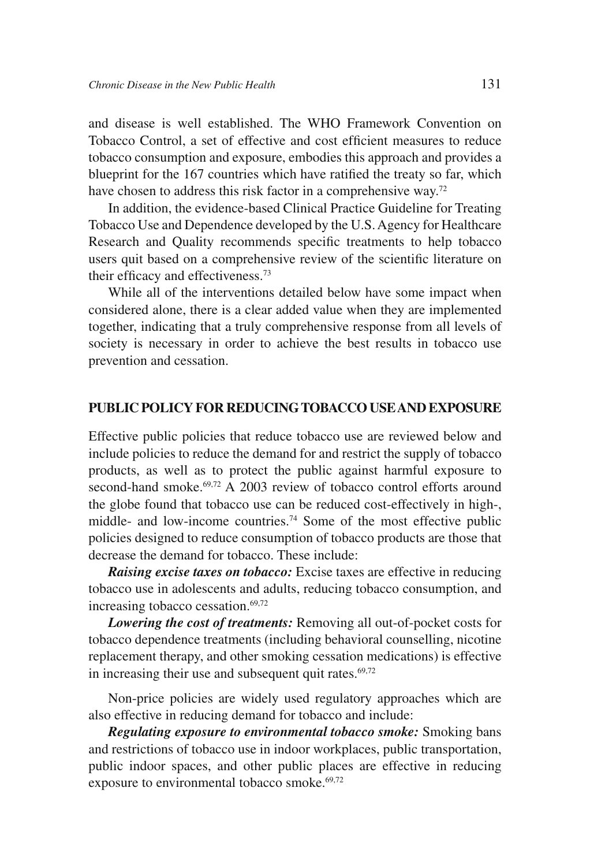and disease is well established. The WHO Framework Convention on Tobacco Control, a set of effective and cost efficient measures to reduce tobacco consumption and exposure, embodies this approach and provides a blueprint for the 167 countries which have ratified the treaty so far, which have chosen to address this risk factor in a comprehensive way.<sup>72</sup>

In addition, the evidence-based Clinical Practice Guideline for Treating Tobacco Use and Dependence developed by the U.S. Agency for Healthcare Research and Quality recommends specific treatments to help tobacco users quit based on a comprehensive review of the scientific literature on their efficacy and effectiveness.<sup>73</sup>

While all of the interventions detailed below have some impact when considered alone, there is a clear added value when they are implemented together, indicating that a truly comprehensive response from all levels of society is necessary in order to achieve the best results in tobacco use prevention and cessation.

#### **PUBLIC POLICY FOR REDUCING TOBACCO USE AND EXPOSURE**

Effective public policies that reduce tobacco use are reviewed below and include policies to reduce the demand for and restrict the supply of tobacco products, as well as to protect the public against harmful exposure to second-hand smoke.<sup>69,72</sup> A 2003 review of tobacco control efforts around the globe found that tobacco use can be reduced cost-effectively in high-, middle- and low-income countries.<sup>74</sup> Some of the most effective public policies designed to reduce consumption of tobacco products are those that decrease the demand for tobacco. These include:

*Raising excise taxes on tobacco:* Excise taxes are effective in reducing tobacco use in adolescents and adults, reducing tobacco consumption, and increasing tobacco cessation.<sup>69,72</sup>

*Lowering the cost of treatments:* Removing all out-of-pocket costs for tobacco dependence treatments (including behavioral counselling, nicotine replacement therapy, and other smoking cessation medications) is effective in increasing their use and subsequent quit rates. $69,72$ 

Non-price policies are widely used regulatory approaches which are also effective in reducing demand for tobacco and include:

*Regulating exposure to environmental tobacco smoke:* Smoking bans and restrictions of tobacco use in indoor workplaces, public transportation, public indoor spaces, and other public places are effective in reducing exposure to environmental tobacco smoke. $69,72$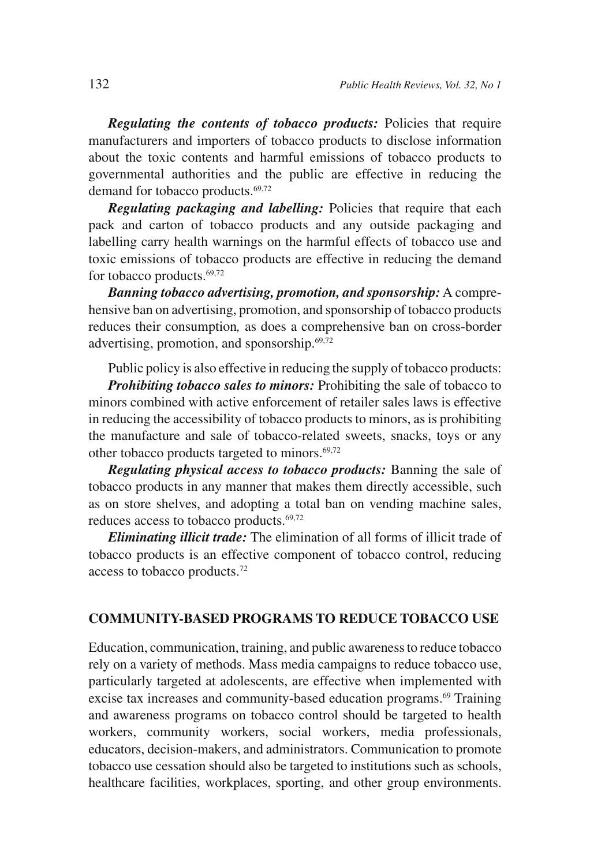*Regulating the contents of tobacco products:* Policies that require manufacturers and importers of tobacco products to disclose information about the toxic contents and harmful emissions of tobacco products to governmental authorities and the public are effective in reducing the demand for tobacco products.<sup>69,72</sup>

*Regulating packaging and labelling:* Policies that require that each pack and carton of tobacco products and any outside packaging and labelling carry health warnings on the harmful effects of tobacco use and toxic emissions of tobacco products are effective in reducing the demand for tobacco products.<sup>69,72</sup>

*Banning tobacco advertising, promotion, and sponsorship:* A comprehensive ban on advertising, promotion, and sponsorship of tobacco products reduces their consumption*,* as does a comprehensive ban on cross-border advertising, promotion, and sponsorship. $69,72$ 

Public policy is also effective in reducing the supply of tobacco products: *Prohibiting tobacco sales to minors:* Prohibiting the sale of tobacco to minors combined with active enforcement of retailer sales laws is effective in reducing the accessibility of tobacco products to minors, as is prohibiting the manufacture and sale of tobacco-related sweets, snacks, toys or any other tobacco products targeted to minors.<sup>69,72</sup>

*Regulating physical access to tobacco products:* Banning the sale of tobacco products in any manner that makes them directly accessible, such as on store shelves, and adopting a total ban on vending machine sales, reduces access to tobacco products.<sup>69,72</sup>

*Eliminating illicit trade:* The elimination of all forms of illicit trade of tobacco products is an effective component of tobacco control, reducing access to tobacco products.72

### **COMMUNITY-BASED PROGRAMS TO REDUCE TOBACCO USE**

Education, communication, training, and public awareness to reduce tobacco rely on a variety of methods. Mass media campaigns to reduce tobacco use, particularly targeted at adolescents, are effective when implemented with excise tax increases and community-based education programs.<sup>69</sup> Training and awareness programs on tobacco control should be targeted to health workers, community workers, social workers, media professionals, educators, decision-makers, and administrators. Communication to promote tobacco use cessation should also be targeted to institutions such as schools, healthcare facilities, workplaces, sporting, and other group environments.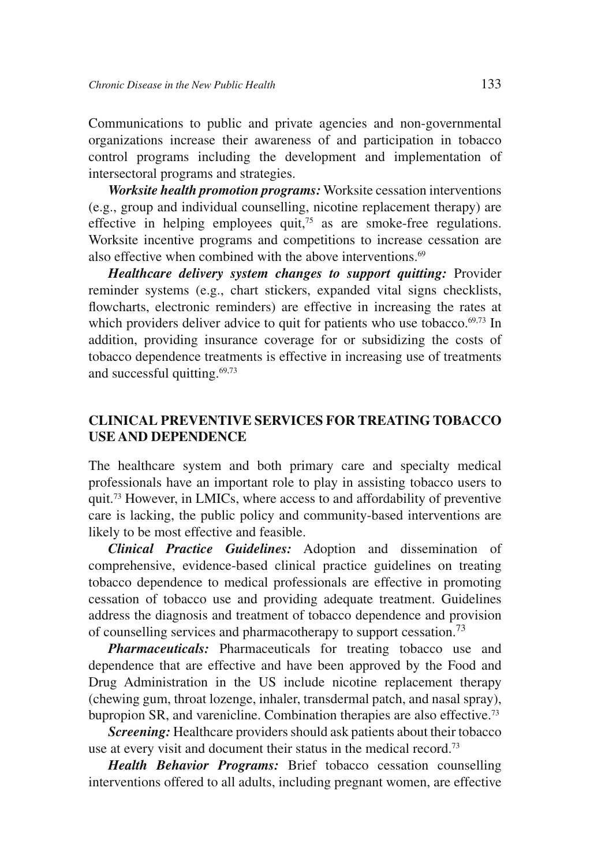Communications to public and private agencies and non-governmental organizations increase their awareness of and participation in tobacco control programs including the development and implementation of intersectoral programs and strategies.

*Worksite health promotion programs:* Worksite cessation interventions (e.g., group and individual counselling, nicotine replacement therapy) are effective in helping employees quit,<sup>75</sup> as are smoke-free regulations. Worksite incentive programs and competitions to increase cessation are also effective when combined with the above interventions.<sup>69</sup>

*Healthcare delivery system changes to support quitting:* Provider reminder systems (e.g., chart stickers, expanded vital signs checklists, flowcharts, electronic reminders) are effective in increasing the rates at which providers deliver advice to quit for patients who use tobacco. $69,73$  In addition, providing insurance coverage for or subsidizing the costs of tobacco dependence treatments is effective in increasing use of treatments and successful quitting.69,73

## **CLINICAL PREVENTIVE SERVICES FOR TREATING TOBACCO USE AND DEPENDENCE**

The healthcare system and both primary care and specialty medical professionals have an important role to play in assisting tobacco users to quit.<sup>73</sup> However, in LMICs, where access to and affordability of preventive care is lacking, the public policy and community-based interventions are likely to be most effective and feasible.

*Clinical Practice Guidelines:* Adoption and dissemination of comprehensive, evidence-based clinical practice guidelines on treating tobacco dependence to medical professionals are effective in promoting cessation of tobacco use and providing adequate treatment. Guidelines address the diagnosis and treatment of tobacco dependence and provision of counselling services and pharmacotherapy to support cessation.73

*Pharmaceuticals:* Pharmaceuticals for treating tobacco use and dependence that are effective and have been approved by the Food and Drug Administration in the US include nicotine replacement therapy (chewing gum, throat lozenge, inhaler, transdermal patch, and nasal spray), bupropion SR, and varenicline. Combination therapies are also effective.<sup>73</sup>

*Screening:* Healthcare providers should ask patients about their tobacco use at every visit and document their status in the medical record.<sup>73</sup>

*Health Behavior Programs:* Brief tobacco cessation counselling interventions offered to all adults, including pregnant women, are effective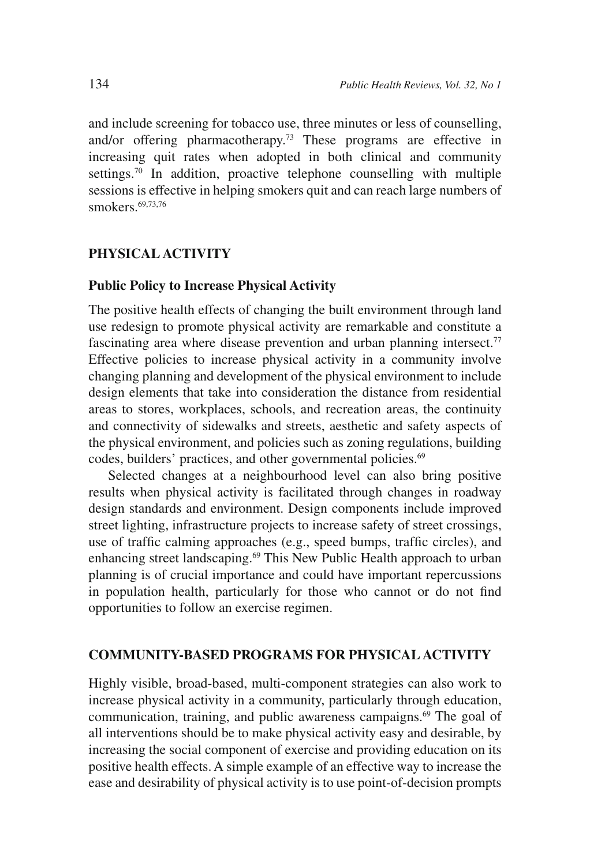and include screening for tobacco use, three minutes or less of counselling, and/or offering pharmacotherapy.73 These programs are effective in increasing quit rates when adopted in both clinical and community settings.<sup>70</sup> In addition, proactive telephone counselling with multiple sessions is effective in helping smokers quit and can reach large numbers of smokers. $69,73,76$ 

### **PHYSICAL ACTIVITY**

#### **Public Policy to Increase Physical Activity**

The positive health effects of changing the built environment through land use redesign to promote physical activity are remarkable and constitute a fascinating area where disease prevention and urban planning intersect.<sup>77</sup> Effective policies to increase physical activity in a community involve changing planning and development of the physical environment to include design elements that take into consideration the distance from residential areas to stores, workplaces, schools, and recreation areas, the continuity and connectivity of sidewalks and streets, aesthetic and safety aspects of the physical environment, and policies such as zoning regulations, building codes, builders' practices, and other governmental policies.<sup>69</sup>

Selected changes at a neighbourhood level can also bring positive results when physical activity is facilitated through changes in roadway design standards and environment. Design components include improved street lighting, infrastructure projects to increase safety of street crossings, use of traffic calming approaches (e.g., speed bumps, traffic circles), and enhancing street landscaping.<sup>69</sup> This New Public Health approach to urban planning is of crucial importance and could have important repercussions in population health, particularly for those who cannot or do not find opportunities to follow an exercise regimen.

#### **COMMUNITY-BASED PROGRAMS FOR PHYSICAL ACTIVITY**

Highly visible, broad-based, multi-component strategies can also work to increase physical activity in a community, particularly through education, communication, training, and public awareness campaigns.<sup>69</sup> The goal of all interventions should be to make physical activity easy and desirable, by increasing the social component of exercise and providing education on its positive health effects. A simple example of an effective way to increase the ease and desirability of physical activity is to use point-of-decision prompts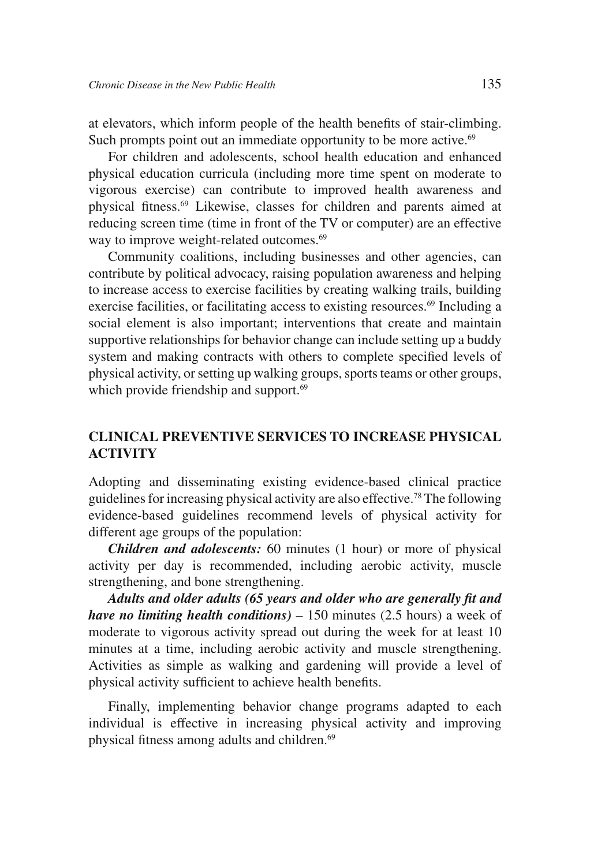at elevators, which inform people of the health benefits of stair-climbing. Such prompts point out an immediate opportunity to be more active.<sup>69</sup>

For children and adolescents, school health education and enhanced physical education curricula (including more time spent on moderate to vigorous exercise) can contribute to improved health awareness and physical fitness.<sup>69</sup> Likewise, classes for children and parents aimed at reducing screen time (time in front of the TV or computer) are an effective way to improve weight-related outcomes.<sup>69</sup>

Community coalitions, including businesses and other agencies, can contribute by political advocacy, raising population awareness and helping to increase access to exercise facilities by creating walking trails, building exercise facilities, or facilitating access to existing resources.<sup>69</sup> Including a social element is also important; interventions that create and maintain supportive relationships for behavior change can include setting up a buddy system and making contracts with others to complete specified levels of physical activity, or setting up walking groups, sports teams or other groups, which provide friendship and support.<sup>69</sup>

## **CLINICAL PREVENTIVE SERVICES TO INCREASE PHYSICAL ACTIVITY**

Adopting and disseminating existing evidence-based clinical practice guidelines for increasing physical activity are also effective.78 The following evidence-based guidelines recommend levels of physical activity for different age groups of the population:

*Children and adolescents:* 60 minutes (1 hour) or more of physical activity per day is recommended, including aerobic activity, muscle strengthening, and bone strengthening.

*Adults and older adults (65 years and older who are generally fi t and have no limiting health conditions)* – 150 minutes (2.5 hours) a week of moderate to vigorous activity spread out during the week for at least 10 minutes at a time, including aerobic activity and muscle strengthening. Activities as simple as walking and gardening will provide a level of physical activity sufficient to achieve health benefits.

Finally, implementing behavior change programs adapted to each individual is effective in increasing physical activity and improving physical fitness among adults and children.<sup>69</sup>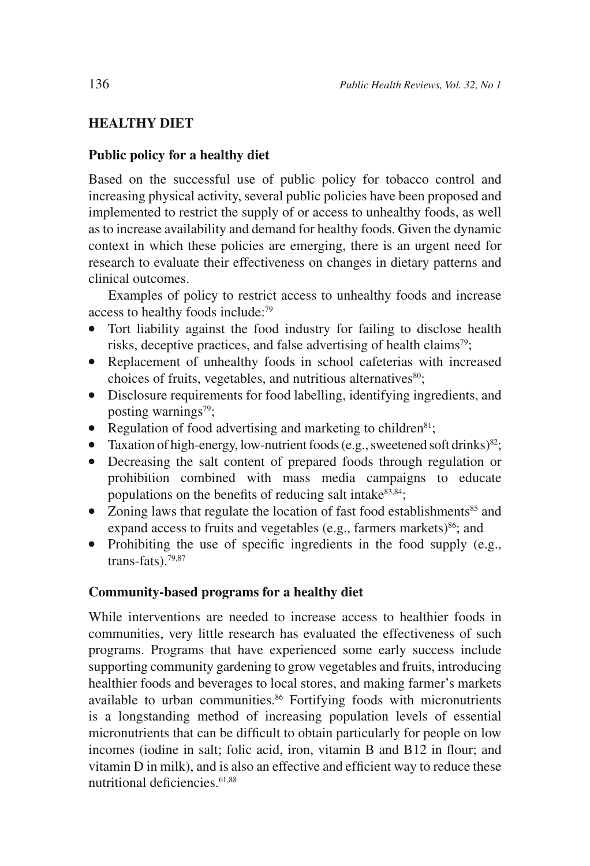# **HEALTHY DIET**

## **Public policy for a healthy diet**

Based on the successful use of public policy for tobacco control and increasing physical activity, several public policies have been proposed and implemented to restrict the supply of or access to unhealthy foods, as well as to increase availability and demand for healthy foods. Given the dynamic context in which these policies are emerging, there is an urgent need for research to evaluate their effectiveness on changes in dietary patterns and clinical outcomes.

Examples of policy to restrict access to unhealthy foods and increase access to healthy foods include:79

- Tort liability against the food industry for failing to disclose health risks, deceptive practices, and false advertising of health claims<sup>79</sup>;
- Replacement of unhealthy foods in school cafeterias with increased choices of fruits, vegetables, and nutritious alternatives $80$ ;
- Disclosure requirements for food labelling, identifying ingredients, and posting warnings<sup>79</sup>;
- Regulation of food advertising and marketing to children<sup>81</sup>;
- Taxation of high-energy, low-nutrient foods (e.g., sweetened soft drinks) $82$ ;
- Decreasing the salt content of prepared foods through regulation or prohibition combined with mass media campaigns to educate populations on the benefits of reducing salt intake $83,84$ ;
- Zoning laws that regulate the location of fast food establishments<sup>85</sup> and expand access to fruits and vegetables (e.g., farmers markets) $86$ ; and
- Prohibiting the use of specific ingredients in the food supply (e.g., trans-fats) $79,87$

### **Community-based programs for a healthy diet**

While interventions are needed to increase access to healthier foods in communities, very little research has evaluated the effectiveness of such programs. Programs that have experienced some early success include supporting community gardening to grow vegetables and fruits, introducing healthier foods and beverages to local stores, and making farmer's markets available to urban communities.<sup>86</sup> Fortifying foods with micronutrients is a longstanding method of increasing population levels of essential micronutrients that can be difficult to obtain particularly for people on low incomes (iodine in salt; folic acid, iron, vitamin B and B12 in flour; and vitamin  $D$  in milk), and is also an effective and efficient way to reduce these nutritional deficiencies.<sup>61,88</sup>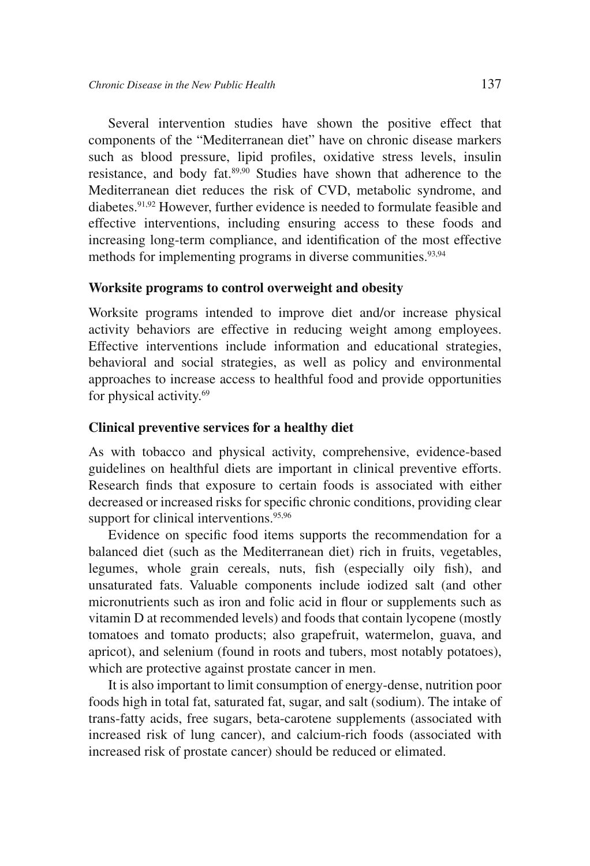Several intervention studies have shown the positive effect that components of the "Mediterranean diet" have on chronic disease markers such as blood pressure, lipid profiles, oxidative stress levels, insulin resistance, and body fat.89,90 Studies have shown that adherence to the Mediterranean diet reduces the risk of CVD, metabolic syndrome, and diabetes.91,92 However, further evidence is needed to formulate feasible and effective interventions, including ensuring access to these foods and increasing long-term compliance, and identification of the most effective methods for implementing programs in diverse communities.<sup>93,94</sup>

#### **Worksite programs to control overweight and obesity**

Worksite programs intended to improve diet and/or increase physical activity behaviors are effective in reducing weight among employees. Effective interventions include information and educational strategies, behavioral and social strategies, as well as policy and environmental approaches to increase access to healthful food and provide opportunities for physical activity.69

### **Clinical preventive services for a healthy diet**

As with tobacco and physical activity, comprehensive, evidence-based guidelines on healthful diets are important in clinical preventive efforts. Research finds that exposure to certain foods is associated with either decreased or increased risks for specific chronic conditions, providing clear support for clinical interventions.<sup>95,96</sup>

Evidence on specific food items supports the recommendation for a balanced diet (such as the Mediterranean diet) rich in fruits, vegetables, legumes, whole grain cereals, nuts, fish (especially oily fish), and unsaturated fats. Valuable components include iodized salt (and other micronutrients such as iron and folic acid in flour or supplements such as vitamin D at recommended levels) and foods that contain lycopene (mostly tomatoes and tomato products; also grapefruit, watermelon, guava, and apricot), and selenium (found in roots and tubers, most notably potatoes), which are protective against prostate cancer in men.

It is also important to limit consumption of energy-dense, nutrition poor foods high in total fat, saturated fat, sugar, and salt (sodium). The intake of trans-fatty acids, free sugars, beta-carotene supplements (associated with increased risk of lung cancer), and calcium-rich foods (associated with increased risk of prostate cancer) should be reduced or elimated.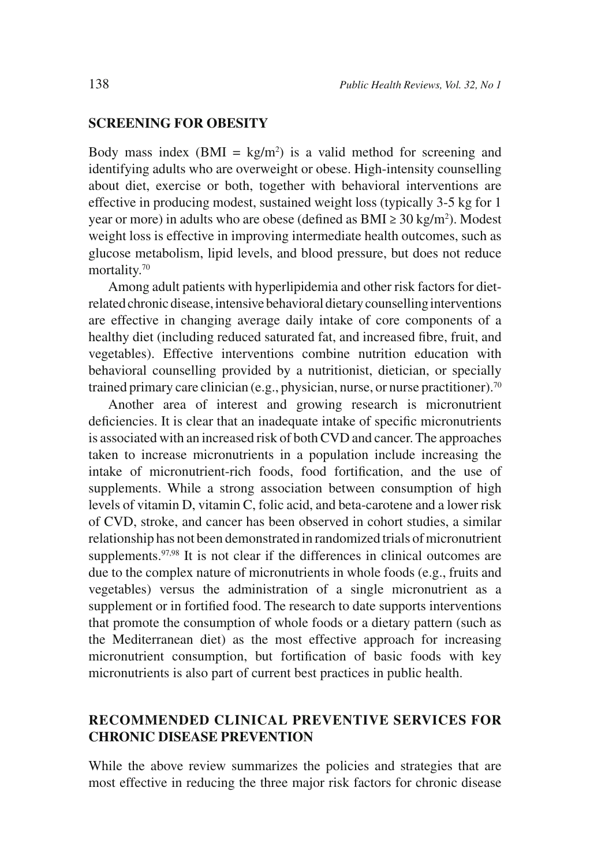#### **SCREENING FOR OBESITY**

Body mass index  $(BMI = kg/m<sup>2</sup>)$  is a valid method for screening and identifying adults who are overweight or obese. High-intensity counselling about diet, exercise or both, together with behavioral interventions are effective in producing modest, sustained weight loss (typically 3-5 kg for 1 year or more) in adults who are obese (defined as  $BMI \ge 30$  kg/m<sup>2</sup>). Modest weight loss is effective in improving intermediate health outcomes, such as glucose metabolism, lipid levels, and blood pressure, but does not reduce mortality.70

Among adult patients with hyperlipidemia and other risk factors for dietrelated chronic disease, intensive behavioral dietary counselling interventions are effective in changing average daily intake of core components of a healthy diet (including reduced saturated fat, and increased fibre, fruit, and vegetables). Effective interventions combine nutrition education with behavioral counselling provided by a nutritionist, dietician, or specially trained primary care clinician (e.g., physician, nurse, or nurse practitioner).<sup>70</sup>

Another area of interest and growing research is micronutrient deficiencies. It is clear that an inadequate intake of specific micronutrients is associated with an increased risk of both CVD and cancer. The approaches taken to increase micronutrients in a population include increasing the intake of micronutrient-rich foods, food fortification, and the use of supplements. While a strong association between consumption of high levels of vitamin D, vitamin C, folic acid, and beta-carotene and a lower risk of CVD, stroke, and cancer has been observed in cohort studies, a similar relationship has not been demonstrated in randomized trials of micronutrient supplements.<sup>97,98</sup> It is not clear if the differences in clinical outcomes are due to the complex nature of micronutrients in whole foods (e.g., fruits and vegetables) versus the administration of a single micronutrient as a supplement or in fortified food. The research to date supports interventions that promote the consumption of whole foods or a dietary pattern (such as the Mediterranean diet) as the most effective approach for increasing micronutrient consumption, but fortification of basic foods with key micronutrients is also part of current best practices in public health.

# **RECOMMENDED CLINICAL PREVENTIVE SERVICES FOR CHRONIC DISEASE PREVENTION**

While the above review summarizes the policies and strategies that are most effective in reducing the three major risk factors for chronic disease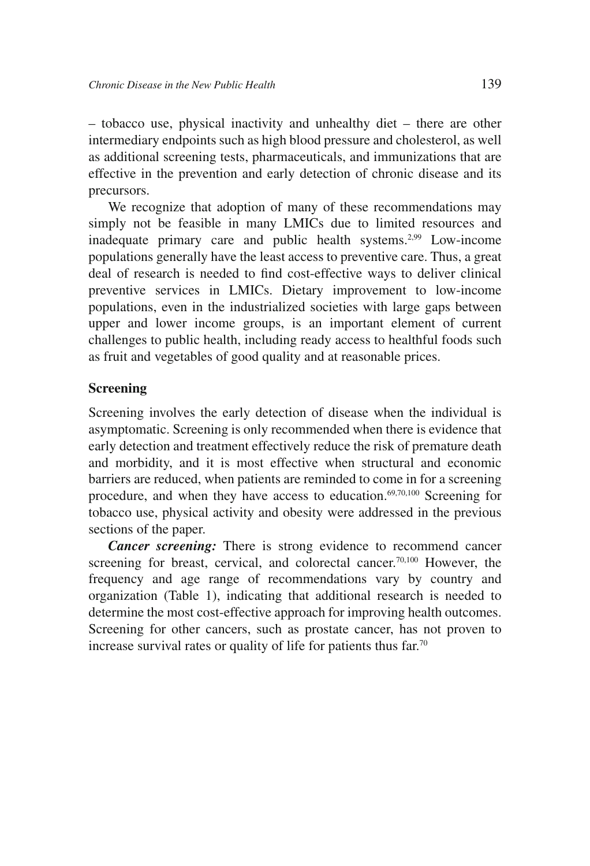– tobacco use, physical inactivity and unhealthy diet – there are other intermediary endpoints such as high blood pressure and cholesterol, as well as additional screening tests, pharmaceuticals, and immunizations that are effective in the prevention and early detection of chronic disease and its precursors.

We recognize that adoption of many of these recommendations may simply not be feasible in many LMICs due to limited resources and inadequate primary care and public health systems.2,99 Low-income populations generally have the least access to preventive care. Thus, a great deal of research is needed to find cost-effective ways to deliver clinical preventive services in LMICs. Dietary improvement to low-income populations, even in the industrialized societies with large gaps between upper and lower income groups, is an important element of current challenges to public health, including ready access to healthful foods such as fruit and vegetables of good quality and at reasonable prices.

#### **Screening**

Screening involves the early detection of disease when the individual is asymptomatic. Screening is only recommended when there is evidence that early detection and treatment effectively reduce the risk of premature death and morbidity, and it is most effective when structural and economic barriers are reduced, when patients are reminded to come in for a screening procedure, and when they have access to education.<sup>69,70,100</sup> Screening for tobacco use, physical activity and obesity were addressed in the previous sections of the paper.

*Cancer screening:* There is strong evidence to recommend cancer screening for breast, cervical, and colorectal cancer.<sup>70,100</sup> However, the frequency and age range of recommendations vary by country and organization (Table 1), indicating that additional research is needed to determine the most cost-effective approach for improving health outcomes. Screening for other cancers, such as prostate cancer, has not proven to increase survival rates or quality of life for patients thus far.70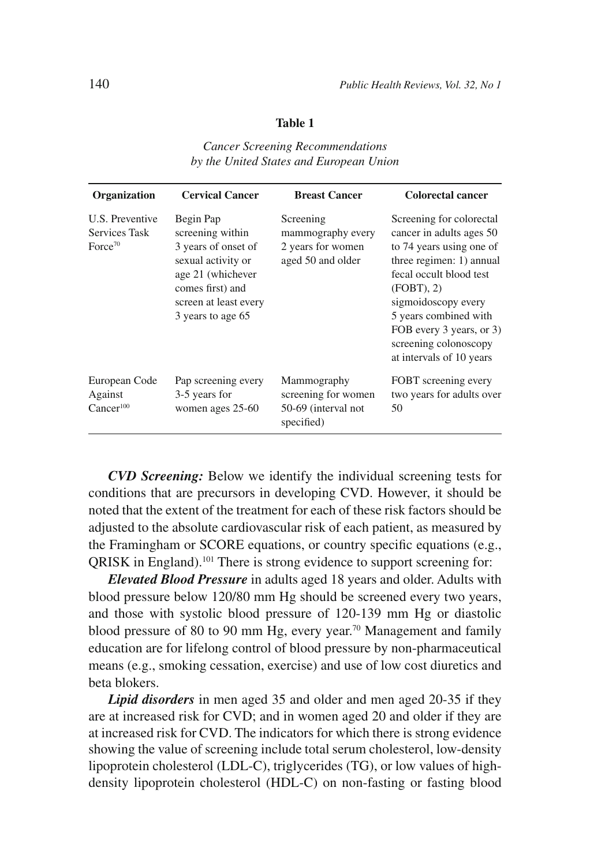#### **Table 1**

| Organization                                                   | <b>Cervical Cancer</b>                                                                                                                                            | <b>Breast Cancer</b>                                                     | <b>Colorectal cancer</b>                                                                                                                                                                                                                                                                  |
|----------------------------------------------------------------|-------------------------------------------------------------------------------------------------------------------------------------------------------------------|--------------------------------------------------------------------------|-------------------------------------------------------------------------------------------------------------------------------------------------------------------------------------------------------------------------------------------------------------------------------------------|
| U.S. Preventive<br><b>Services Task</b><br>Force <sup>70</sup> | Begin Pap<br>screening within<br>3 years of onset of<br>sexual activity or<br>age 21 (whichever<br>comes first) and<br>screen at least every<br>3 years to age 65 | Screening<br>mammography every<br>2 years for women<br>aged 50 and older | Screening for colorectal<br>cancer in adults ages 50<br>to 74 years using one of<br>three regimen: 1) annual<br>fecal occult blood test<br>$(FOBT)$ , 2)<br>sigmoidoscopy every<br>5 years combined with<br>FOB every 3 years, or 3)<br>screening colonoscopy<br>at intervals of 10 years |
| European Code<br>Against<br>Cancer <sup>100</sup>              | Pap screening every<br>3-5 years for<br>women ages 25-60                                                                                                          | Mammography<br>screening for women<br>50-69 (interval not<br>specified)  | FOBT screening every<br>two years for adults over<br>50                                                                                                                                                                                                                                   |

*Cancer Screening Recommendations by the United States and European Union*

*CVD Screening:* Below we identify the individual screening tests for conditions that are precursors in developing CVD. However, it should be noted that the extent of the treatment for each of these risk factors should be adjusted to the absolute cardiovascular risk of each patient, as measured by the Framingham or SCORE equations, or country specific equations (e.g., QRISK in England).101 There is strong evidence to support screening for:

*Elevated Blood Pressure* in adults aged 18 years and older. Adults with blood pressure below 120/80 mm Hg should be screened every two years, and those with systolic blood pressure of 120-139 mm Hg or diastolic blood pressure of 80 to 90 mm Hg, every year.<sup>70</sup> Management and family education are for lifelong control of blood pressure by non-pharmaceutical means (e.g., smoking cessation, exercise) and use of low cost diuretics and beta blokers.

*Lipid disorders* in men aged 35 and older and men aged 20-35 if they are at increased risk for CVD; and in women aged 20 and older if they are at increased risk for CVD. The indicators for which there is strong evidence showing the value of screening include total serum cholesterol, low-density lipoprotein cholesterol (LDL-C), triglycerides (TG), or low values of highdensity lipoprotein cholesterol (HDL-C) on non-fasting or fasting blood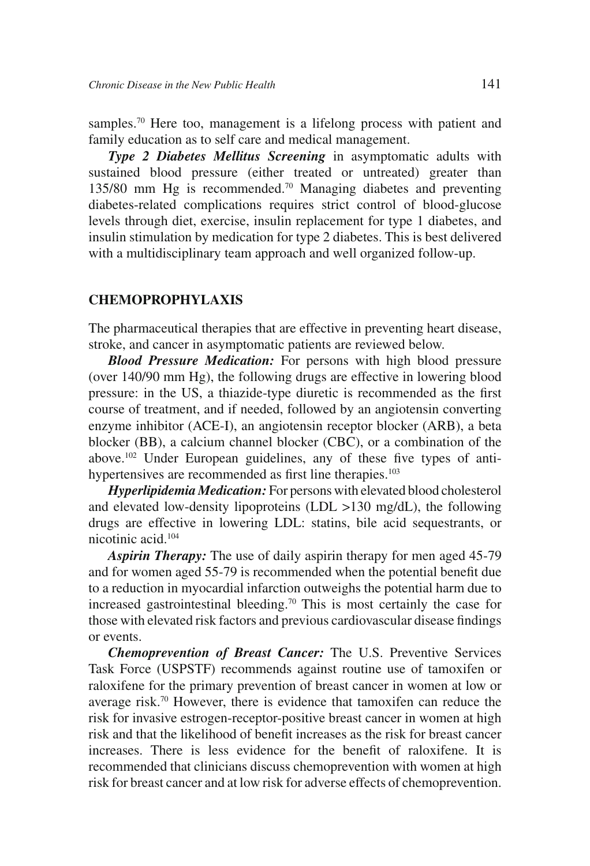samples.<sup>70</sup> Here too, management is a lifelong process with patient and family education as to self care and medical management.

*Type 2 Diabetes Mellitus Screening* in asymptomatic adults with sustained blood pressure (either treated or untreated) greater than 135/80 mm Hg is recommended.70 Managing diabetes and preventing diabetes-related complications requires strict control of blood-glucose levels through diet, exercise, insulin replacement for type 1 diabetes, and insulin stimulation by medication for type 2 diabetes. This is best delivered with a multidisciplinary team approach and well organized follow-up.

#### **CHEMOPROPHYLAXIS**

The pharmaceutical therapies that are effective in preventing heart disease, stroke, and cancer in asymptomatic patients are reviewed below.

*Blood Pressure Medication:* For persons with high blood pressure (over 140/90 mm Hg), the following drugs are effective in lowering blood pressure: in the US, a thiazide-type diuretic is recommended as the first course of treatment, and if needed, followed by an angiotensin converting enzyme inhibitor (ACE-I), an angiotensin receptor blocker (ARB), a beta blocker (BB), a calcium channel blocker (CBC), or a combination of the above.<sup>102</sup> Under European guidelines, any of these five types of antihypertensives are recommended as first line therapies.<sup>103</sup>

*Hyperlipidemia Medication:* For persons with elevated blood cholesterol and elevated low-density lipoproteins (LDL >130 mg/dL), the following drugs are effective in lowering LDL: statins, bile acid sequestrants, or nicotinic acid.104

*Aspirin Therapy:* The use of daily aspirin therapy for men aged 45-79 and for women aged 55-79 is recommended when the potential benefit due to a reduction in myocardial infarction outweighs the potential harm due to increased gastrointestinal bleeding.70 This is most certainly the case for those with elevated risk factors and previous cardiovascular disease findings or events.

*Chemoprevention of Breast Cancer:* The U.S. Preventive Services Task Force (USPSTF) recommends against routine use of tamoxifen or raloxifene for the primary prevention of breast cancer in women at low or average risk.70 However, there is evidence that tamoxifen can reduce the risk for invasive estrogen-receptor-positive breast cancer in women at high risk and that the likelihood of benefit increases as the risk for breast cancer increases. There is less evidence for the benefit of raloxifene. It is recommended that clinicians discuss chemoprevention with women at high risk for breast cancer and at low risk for adverse effects of chemoprevention.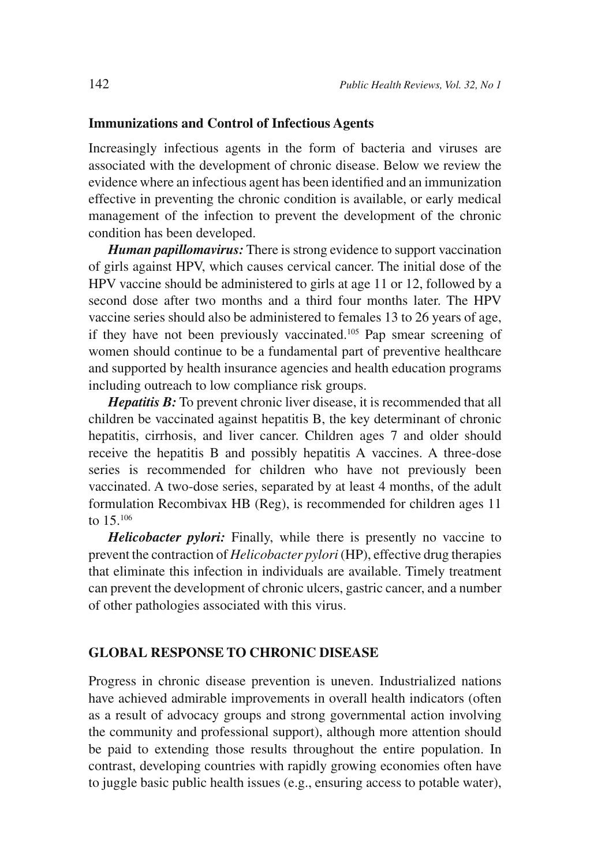#### **Imm unizations and Control of Infectious Agents**

Increasingly infectious agents in the form of bacteria and viruses are associated with the development of chronic disease. Below we review the evidence where an infectious agent has been identified and an immunization effective in preventing the chronic condition is available, or early medical management of the infection to prevent the development of the chronic condition has been developed.

*Human papillomavirus:* There is strong evidence to support vaccination of girls against HPV, which causes cervical cancer. The initial dose of the HPV vaccine should be administered to girls at age 11 or 12, followed by a second dose after two months and a third four months later. The HPV vaccine series should also be administered to females 13 to 26 years of age, if they have not been previously vaccinated.105 Pap smear screening of women should continue to be a fundamental part of preventive healthcare and supported by health insurance agencies and health education programs including outreach to low compliance risk groups.

*Hepatitis B:* To prevent chronic liver disease, it is recommended that all children be vaccinated against hepatitis B, the key determinant of chronic hepatitis, cirrhosis, and liver cancer. Children ages 7 and older should receive the hepatitis B and possibly hepatitis A vaccines. A three-dose series is recommended for children who have not previously been vaccinated. A two-dose series, separated by at least 4 months, of the adult formulation Recombivax HB (Reg), is recommended for children ages 11 to 15 106

*Helicobacter pylori:* Finally, while there is presently no vaccine to prevent the contraction of *Helicobacter pylori* (HP), effective drug therapies that eliminate this infection in individuals are available. Timely treatment can prevent the development of chronic ulcers, gastric cancer, and a number of other pathologies associated with this virus.

#### **GLOBAL RESPONSE TO CHRONIC DISEASE**

Progress in chronic disease prevention is uneven. Industrialized nations have achieved admirable improvements in overall health indicators (often as a result of advocacy groups and strong governmental action involving the community and professional support), although more attention should be paid to extending those results throughout the entire population. In contrast, developing countries with rapidly growing economies often have to juggle basic public health issues (e.g., ensuring access to potable water),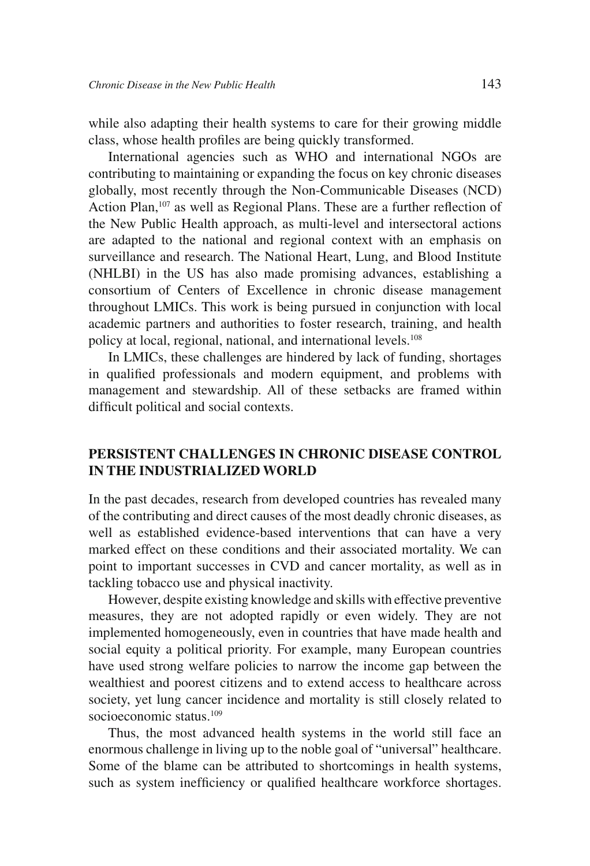while also adapting their health systems to care for their growing middle class, whose health profiles are being quickly transformed.

International agencies such as WHO and international NGOs are contributing to maintaining or expanding the focus on key chronic diseases globally, most recently through the Non-Communicable Diseases (NCD) Action Plan,<sup>107</sup> as well as Regional Plans. These are a further reflection of the New Public Health approach, as multi-level and intersectoral actions are adapted to the national and regional context with an emphasis on surveillance and research. The National Heart, Lung, and Blood Institute (NHLBI) in the US has also made promising advances, establishing a consortium of Centers of Excellence in chronic disease management throughout LMICs. This work is being pursued in conjunction with local academic partners and authorities to foster research, training, and health policy at local, regional, national, and international levels.<sup>108</sup>

In LMICs, these challenges are hindered by lack of funding, shortages in qualified professionals and modern equipment, and problems with management and stewardship. All of these setbacks are framed within difficult political and social contexts.

## **PERSISTENT CHALLENGES IN CHRONIC DISEASE CONTROL IN THE INDUSTRIALIZED WORLD**

In the past decades, research from developed countries has revealed many of the contributing and direct causes of the most deadly chronic diseases, as well as established evidence-based interventions that can have a very marked effect on these conditions and their associated mortality. We can point to important successes in CVD and cancer mortality, as well as in tackling tobacco use and physical inactivity.

However, despite existing knowledge and skills with effective preventive measures, they are not adopted rapidly or even widely. They are not implemented homogeneously, even in countries that have made health and social equity a political priority. For example, many European countries have used strong welfare policies to narrow the income gap between the wealthiest and poorest citizens and to extend access to healthcare across society, yet lung cancer incidence and mortality is still closely related to socioeconomic status.<sup>109</sup>

Thus, the most advanced health systems in the world still face an enormous challenge in living up to the noble goal of "universal" healthcare. Some of the blame can be attributed to shortcomings in health systems, such as system inefficiency or qualified healthcare workforce shortages.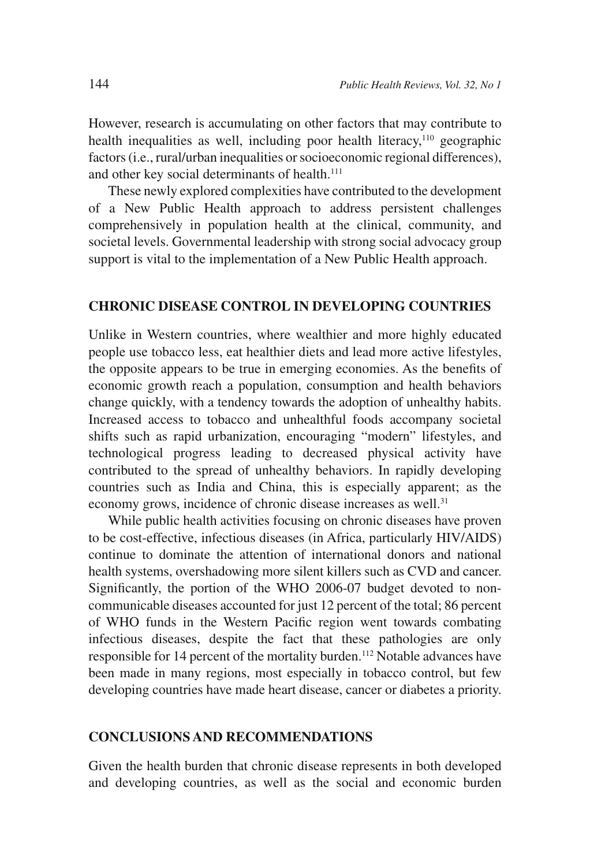However, research is accumulating on other factors that may contribute to health inequalities as well, including poor health literacy,<sup>110</sup> geographic factors (i.e., rural/urban inequalities or socioeconomic regional differences), and other key social determinants of health.<sup>111</sup>

These newly explored complexities have contributed to the development of a New Public Health approach to address persistent challenges comprehensively in population health at the clinical, community, and societal levels. Governmental leadership with strong social advocacy group support is vital to the implementation of a New Public Health approach.

### **CHRONIC DISEASE CONTROL IN DEVELOPING COUNTRIES**

Unlike in Western countries, where wealthier and more highly educated people use tobacco less, eat healthier diets and lead more active lifestyles, the opposite appears to be true in emerging economies. As the benefits of economic growth reach a population, consumption and health behaviors change quickly, with a tendency towards the adoption of unhealthy habits. Increased access to tobacco and unhealthful foods accompany societal shifts such as rapid urbanization, encouraging "modern" lifestyles, and technological progress leading to decreased physical activity have contributed to the spread of unhealthy behaviors. In rapidly developing countries such as India and China, this is especially apparent; as the economy grows, incidence of chronic disease increases as well.<sup>31</sup>

While public health activities focusing on chronic diseases have proven to be cost-effective, infectious diseases (in Africa, particularly HIV/AIDS) continue to dominate the attention of international donors and national health systems, overshadowing more silent killers such as CVD and cancer. Significantly, the portion of the WHO 2006-07 budget devoted to noncommunicable diseases accounted for just 12 percent of the total; 86 percent of WHO funds in the Western Pacific region went towards combating infectious diseases, despite the fact that these pathologies are only responsible for 14 percent of the mortality burden.<sup>112</sup> Notable advances have been made in many regions, most especially in tobacco control, but few developing countries have made heart disease, cancer or diabetes a priority.

#### **CONCLUSIONS AND RECOMMENDATIONS**

Given the health burden that chronic disease represents in both developed and developing countries, as well as the social and economic burden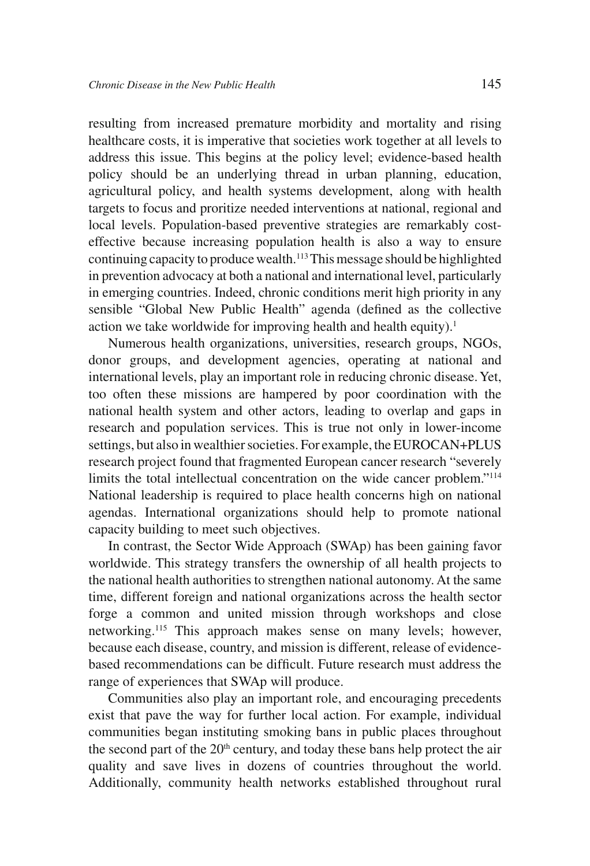resulting from increased premature morbidity and mortality and rising healthcare costs, it is imperative that societies work together at all levels to address this issue. This begins at the policy level; evidence-based health policy should be an underlying thread in urban planning, education, agricultural policy, and health systems development, along with health targets to focus and proritize needed interventions at national, regional and local levels. Population-based preventive strategies are remarkably costeffective because increasing population health is also a way to ensure continuing capacity to produce wealth.113 This message should be highlighted in prevention advocacy at both a national and international level, particularly in emerging countries. Indeed, chronic conditions merit high priority in any sensible "Global New Public Health" agenda (defined as the collective action we take worldwide for improving health and health equity).<sup>1</sup>

Numerous health organizations, universities, research groups, NGOs, donor groups, and development agencies, operating at national and international levels, play an important role in reducing chronic disease. Yet, too often these missions are hampered by poor coordination with the national health system and other actors, leading to overlap and gaps in research and population services. This is true not only in lower-income settings, but also in wealthier societies. For example, the EUROCAN+PLUS research project found that fragmented European cancer research "severely limits the total intellectual concentration on the wide cancer problem."114 National leadership is required to place health concerns high on national agendas. International organizations should help to promote national capacity building to meet such objectives.

In contrast, the Sector Wide Approach (SWAp) has been gaining favor worldwide. This strategy transfers the ownership of all health projects to the national health authorities to strengthen national autonomy. At the same time, different foreign and national organizations across the health sector forge a common and united mission through workshops and close networking.115 This approach makes sense on many levels; however, because each disease, country, and mission is different, release of evidencebased recommendations can be difficult. Future research must address the range of experiences that SWAp will produce.

Communities also play an important role, and encouraging precedents exist that pave the way for further local action. For example, individual communities began instituting smoking bans in public places throughout the second part of the  $20<sup>th</sup>$  century, and today these bans help protect the air quality and save lives in dozens of countries throughout the world. Additionally, community health networks established throughout rural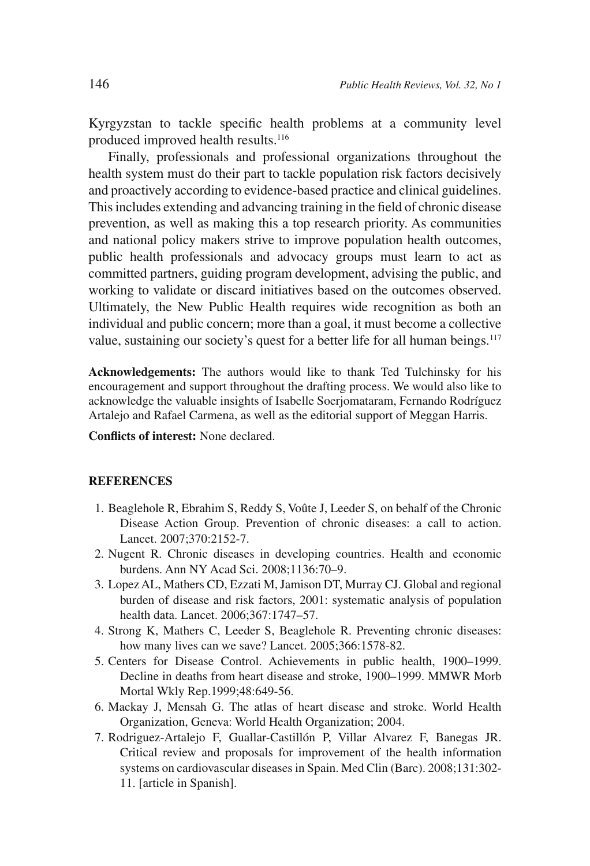Kyrgyzstan to tackle specific health problems at a community level produced improved health results.<sup>116</sup>

Finally, professionals and professional organizations throughout the health system must do their part to tackle population risk factors decisively and proactively according to evidence-based practice and clinical guidelines. This includes extending and advancing training in the field of chronic disease prevention, as well as making this a top research priority. As communities and national policy makers strive to improve population health outcomes, public health professionals and advocacy groups must learn to act as committed partners, guiding program development, advising the public, and working to validate or discard initiatives based on the outcomes observed. Ultimately, the New Public Health requires wide recognition as both an individual and public concern; more than a goal, it must become a collective value, sustaining our society's quest for a better life for all human beings.<sup>117</sup>

**Acknowledgements:** The authors would like to thank Ted Tulchinsky for his encouragement and support throughout the drafting process. We would also like to acknowledge the valuable insights of Isabelle Soerjomataram, Fernando Rodríguez Artalejo and Rafael Carmena, as well as the editorial support of Meggan Harris.

**Conflicts of interest:** None declared.

#### **REFERENCES**

- 1. Beaglehole R, Ebrahim S, Reddy S, Voûte J, Leeder S, on behalf of the Chronic Disease Action Group. Prevention of chronic diseases: a call to action. Lancet. 2007;370:2152-7.
- 2. Nugent R. Chronic diseases in developing countries. Health and economic burdens. Ann NY Acad Sci. 2008;1136:70–9.
- 3. Lopez AL, Mathers CD, Ezzati M, Jamison DT, Murray CJ. Global and regional burden of disease and risk factors, 2001: systematic analysis of population health data. Lancet. 2006;367:1747–57.
- 4. Strong K, Mathers C, Leeder S, Beaglehole R. Preventing chronic diseases: how many lives can we save? Lancet. 2005;366:1578-82.
- 5. Centers for Disease Control. Achievements in public health, 1900–1999. Decline in deaths from heart disease and stroke, 1900–1999. MMWR Morb Mortal Wkly Rep.1999;48:649-56.
- 6. Mackay J, Mensah G. The atlas of heart disease and stroke. World Health Organization, Geneva: World Health Organization; 2004.
- 7. Rodriguez-Artalejo F, Guallar-Castillón P, Villar Alvarez F, Banegas JR. Critical review and proposals for improvement of the health information systems on cardiovascular diseases in Spain. Med Clin (Barc). 2008;131:302- 11. [article in Spanish].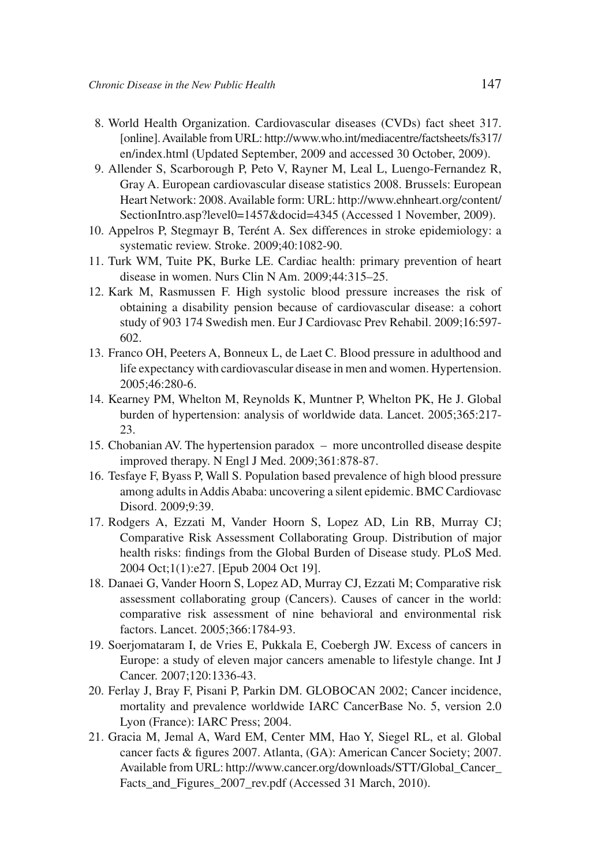- 8. World Health Organization. Cardiovascular diseases (CVDs) fact sheet 317. [online]. Available from URL: http://www.who.int/mediacentre/factsheets/fs317/ en/index.html (Updated September, 2009 and accessed 30 October, 2009).
- 9. Allender S, Scarborough P, Peto V, Rayner M, Leal L, Luengo-Fernandez R, Gray A. European cardiovascular disease statistics 2008. Brussels: European Heart Network: 2008. Available form: URL: http://www.ehnheart.org/content/ SectionIntro.asp?level0=1457&docid=4345 (Accessed 1 November, 2009).
- 10. Appelros P, Stegmayr B, Terént A. Sex differences in stroke epidemiology: a systematic review. Stroke. 2009;40:1082-90.
- 11. Turk WM, Tuite PK, Burke LE. Cardiac health: primary prevention of heart disease in women. Nurs Clin N Am. 2009;44:315–25.
- 12. Kark M, Rasmussen F. High systolic blood pressure increases the risk of obtaining a disability pension because of cardiovascular disease: a cohort study of 903 174 Swedish men. Eur J Cardiovasc Prev Rehabil. 2009;16:597- 602.
- 13. Franco OH, Peeters A, Bonneux L, de Laet C. Blood pressure in adulthood and life expectancy with cardiovascular disease in men and women. Hypertension. 2005;46:280-6.
- 14. Kearney PM, Whelton M, Reynolds K, Muntner P, Whelton PK, He J. Global burden of hypertension: analysis of worldwide data. Lancet. 2005;365:217- 23.
- 15. Chobanian AV. The hypertension paradox more uncontrolled disease despite improved therapy. N Engl J Med. 2009;361:878-87.
- 16. Tesfaye F, Byass P, Wall S. Population based prevalence of high blood pressure among adults in Addis Ababa: uncovering a silent epidemic. BMC Cardiovasc Disord. 2009;9:39.
- 17. Rodgers A, Ezzati M, Vander Hoorn S, Lopez AD, Lin RB, Murray CJ; Comparative Risk Assessment Collaborating Group. Distribution of major health risks: findings from the Global Burden of Disease study. PLoS Med. 2004 Oct;1(1):e27. [Epub 2004 Oct 19].
- 18. Danaei G, Vander Hoorn S, Lopez AD, Murray CJ, Ezzati M; Comparative risk assessment collaborating group (Cancers). Causes of cancer in the world: comparative risk assessment of nine behavioral and environmental risk factors. Lancet. 2005;366:1784-93.
- 19. Soerjomataram I, de Vries E, Pukkala E, Coebergh JW. Excess of cancers in Europe: a study of eleven major cancers amenable to lifestyle change. Int J Cancer. 2007;120:1336-43.
- 20. Ferlay J, Bray F, Pisani P, Parkin DM. GLOBOCAN 2002; Cancer incidence, mortality and prevalence worldwide IARC CancerBase No. 5, version 2.0 Lyon (France): IARC Press; 2004.
- 21. Gracia M, Jemal A, Ward EM, Center MM, Hao Y, Siegel RL, et al. Global cancer facts & figures 2007. Atlanta, (GA): American Cancer Society; 2007. Available from URL: http://www.cancer.org/downloads/STT/Global\_Cancer\_ Facts and Figures 2007 rev.pdf (Accessed 31 March, 2010).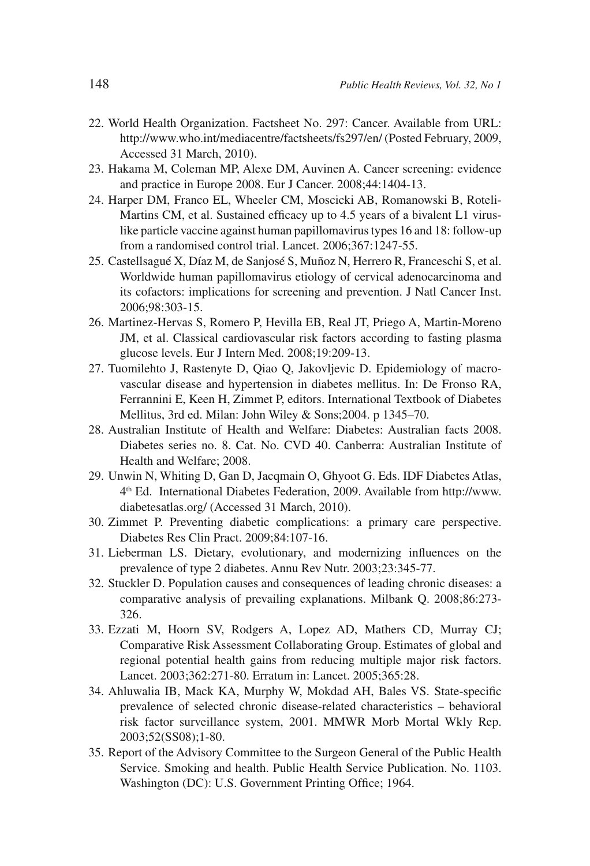- 22. World Health Organization. Factsheet No. 297: Cancer. Available from URL: http://www.who.int/mediacentre/factsheets/fs297/en/ (Posted February, 2009, Accessed 31 March, 2010).
- 23. Hakama M, Coleman MP, Alexe DM, Auvinen A. Cancer screening: evidence and practice in Europe 2008. Eur J Cancer. 2008;44:1404-13.
- 24. Harper DM, Franco EL, Wheeler CM, Moscicki AB, Romanowski B, Roteli-Martins CM, et al. Sustained efficacy up to 4.5 years of a bivalent L1 viruslike particle vaccine against human papillomavirus types 16 and 18: follow-up from a randomised control trial. Lancet. 2006;367:1247-55.
- 25. Castellsagué X, Díaz M, de Sanjosé S, Muñoz N, Herrero R, Franceschi S, et al. Worldwide human papillomavirus etiology of cervical adenocarcinoma and its cofactors: implications for screening and prevention. J Natl Cancer Inst. 2006;98:303-15.
- 26. Martinez-Hervas S, Romero P, Hevilla EB, Real JT, Priego A, Martin-Moreno JM, et al. Classical cardiovascular risk factors according to fasting plasma glucose levels. Eur J Intern Med. 2008;19:209-13.
- 27. Tuomilehto J, Rastenyte D, Qiao Q, Jakovljevic D. Epidemiology of macrovascular disease and hypertension in diabetes mellitus. In: De Fronso RA, Ferrannini E, Keen H, Zimmet P, editors. International Textbook of Diabetes Mellitus, 3rd ed. Milan: John Wiley & Sons;2004. p 1345–70.
- 28. Australian Institute of Health and Welfare: Diabetes: Australian facts 2008. Diabetes series no. 8. Cat. No. CVD 40. Canberra: Australian Institute of Health and Welfare; 2008.
- 29. Unwin N, Whiting D, Gan D, Jacqmain O, Ghyoot G. Eds. IDF Diabetes Atlas, 4th Ed. International Diabetes Federation, 2009. Available from http://www. diabetesatlas.org/ (Accessed 31 March, 2010).
- 30. Zimmet P. Preventing diabetic complications: a primary care perspective. Diabetes Res Clin Pract. 2009;84:107-16.
- 31. Lieberman LS. Dietary, evolutionary, and modernizing influences on the prevalence of type 2 diabetes. Annu Rev Nutr. 2003;23:345-77.
- 32. Stuckler D. Population causes and consequences of leading chronic diseases: a comparative analysis of prevailing explanations. Milbank Q. 2008;86:273- 326.
- 33. Ezzati M, Hoorn SV, Rodgers A, Lopez AD, Mathers CD, Murray CJ; Comparative Risk Assessment Collaborating Group. Estimates of global and regional potential health gains from reducing multiple major risk factors. Lancet. 2003;362:271-80. Erratum in: Lancet. 2005;365:28.
- 34. Ahluwalia IB, Mack KA, Murphy W, Mokdad AH, Bales VS. State-specific prevalence of selected chronic disease-related characteristics – behavioral risk factor surveillance system, 2001. MMWR Morb Mortal Wkly Rep. 2003;52(SS08);1-80.
- 35. Report of the Advisory Committee to the Surgeon General of the Public Health Service. Smoking and health. Public Health Service Publication. No. 1103. Washington (DC): U.S. Government Printing Office; 1964.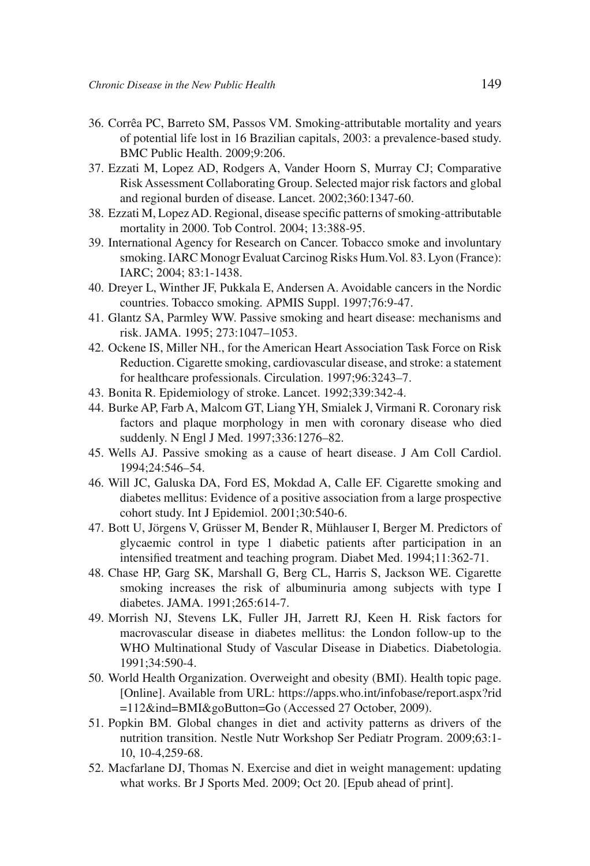- 36. Corrêa PC, Barreto SM, Passos VM. Smoking-attributable mortality and years of potential life lost in 16 Brazilian capitals, 2003: a prevalence-based study. BMC Public Health. 2009;9:206.
- 37. Ezzati M, Lopez AD, Rodgers A, Vander Hoorn S, Murray CJ; Comparative Risk Assessment Collaborating Group. Selected major risk factors and global and regional burden of disease. Lancet. 2002;360:1347-60.
- 38. Ezzati M, Lopez AD. Regional, disease specific patterns of smoking-attributable mortality in 2000. Tob Control. 2004; 13:388-95.
- 39. International Agency for Research on Cancer. Tobacco smoke and involuntary smoking. IARC Monogr Evaluat Carcinog Risks Hum.Vol. 83. Lyon (France): IARC; 2004; 83:1-1438.
- 40. Dreyer L, Winther JF, Pukkala E, Andersen A. Avoidable cancers in the Nordic countries. Tobacco smoking*.* APMIS Suppl. 1997;76:9-47.
- 41. Glantz SA, Parmley WW. Passive smoking and heart disease: mechanisms and risk. JAMA. 1995; 273:1047–1053.
- 42. Ockene IS, Miller NH., for the American Heart Association Task Force on Risk Reduction. Cigarette smoking, cardiovascular disease, and stroke: a statement for healthcare professionals. Circulation. 1997;96:3243–7.
- 43. Bonita R. Epidemiology of stroke. Lancet. 1992;339:342-4.
- 44. Burke AP, Farb A, Malcom GT, Liang YH, Smialek J, Virmani R. Coronary risk factors and plaque morphology in men with coronary disease who died suddenly. N Engl J Med. 1997;336:1276–82.
- 45. Wells AJ. Passive smoking as a cause of heart disease. J Am Coll Cardiol. 1994;24:546–54.
- 46. Will JC, Galuska DA, Ford ES, Mokdad A, Calle EF. Cigarette smoking and diabetes mellitus: Evidence of a positive association from a large prospective cohort study. Int J Epidemiol. 2001;30:540-6.
- 47. Bott U, Jörgens V, Grüsser M, Bender R, Mühlauser I, Berger M. Predictors of glycaemic control in type 1 diabetic patients after participation in an intensified treatment and teaching program. Diabet Med. 1994;11:362-71.
- 48. Chase HP, Garg SK, Marshall G, Berg CL, Harris S, Jackson WE. Cigarette smoking increases the risk of albuminuria among subjects with type I diabetes. JAMA. 1991;265:614-7.
- 49. Morrish NJ, Stevens LK, Fuller JH, Jarrett RJ, Keen H. Risk factors for macrovascular disease in diabetes mellitus: the London follow-up to the WHO Multinational Study of Vascular Disease in Diabetics. Diabetologia. 1991;34:590-4.
- 50. World Health Organization. Overweight and obesity (BMI). Health topic page. [Online]. Available from URL: https://apps.who.int/infobase/report.aspx?rid =112&ind=BMI&goButton=Go (Accessed 27 October, 2009).
- 51. Popkin BM. Global changes in diet and activity patterns as drivers of the nutrition transition. Nestle Nutr Workshop Ser Pediatr Program. 2009;63:1- 10, 10-4,259-68.
- 52. Macfarlane DJ, Thomas N. Exercise and diet in weight management: updating what works. Br J Sports Med. 2009; Oct 20. [Epub ahead of print].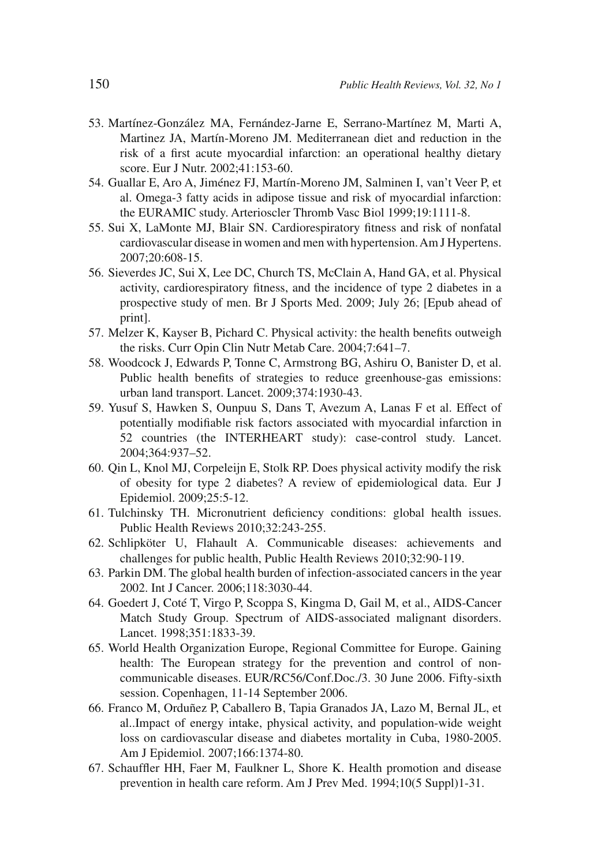- 53. Martínez-González MA, Fernández-Jarne E, Serrano-Martínez M, Marti A, Martinez JA, Martín-Moreno JM. Mediterranean diet and reduction in the risk of a first acute myocardial infarction: an operational healthy dietary score. Eur J Nutr. 2002;41:153-60.
- 54. Guallar E, Aro A, Jiménez FJ, Martín-Moreno JM, Salminen I, van't Veer P, et al. Omega-3 fatty acids in adipose tissue and risk of myocardial infarction: the EURAMIC study. Arterioscler Thromb Vasc Biol 1999;19:1111-8.
- 55. Sui X, LaMonte MJ, Blair SN. Cardiorespiratory fitness and risk of nonfatal cardiovascular disease in women and men with hypertension. Am J Hypertens. 2007;20:608-15.
- 56. Sieverdes JC, Sui X, Lee DC, Church TS, McClain A, Hand GA, et al. Physical activity, cardiorespiratory fitness, and the incidence of type 2 diabetes in a prospective study of men. Br J Sports Med. 2009; July 26; [Epub ahead of print].
- 57. Melzer K, Kayser B, Pichard C. Physical activity: the health benefits outweigh the risks. Curr Opin Clin Nutr Metab Care. 2004;7:641–7.
- 58. Woodcock J, Edwards P, Tonne C, Armstrong BG, Ashiru O, Banister D, et al. Public health benefits of strategies to reduce greenhouse-gas emissions: urban land transport. Lancet. 2009;374:1930-43.
- 59. Yusuf S, Hawken S, Ounpuu S, Dans T, Avezum A, Lanas F et al. Effect of potentially modifiable risk factors associated with myocardial infarction in 52 countries (the INTERHEART study): case-control study. Lancet. 2004;364:937–52.
- 60. Qin L, Knol MJ, Corpeleijn E, Stolk RP. Does physical activity modify the risk of obesity for type 2 diabetes? A review of epidemiological data. Eur J Epidemiol. 2009;25:5-12.
- 61. Tulchinsky TH. Micronutrient deficiency conditions: global health issues. Public Health Reviews 2010;32:243-255.
- 62. Schlipköter U, Flahault A. Communicable diseases: achievements and challenges for public health, Public Health Reviews 2010;32:90-119.
- 63. Parkin DM. The global health burden of infection-associated cancers in the year 2002. Int J Cancer. 2006;118:3030-44.
- 64. Goedert J, Coté T, Virgo P, Scoppa S, Kingma D, Gail M, et al., AIDS-Cancer Match Study Group. Spectrum of AIDS-associated malignant disorders. Lancet. 1998;351:1833-39.
- 65. World Health Organization Europe, Regional Committee for Europe. Gaining health: The European strategy for the prevention and control of noncommunicable diseases. EUR/RC56/Conf.Doc./3. 30 June 2006. Fifty-sixth session. Copenhagen, 11-14 September 2006.
- 66. Franco M, Orduñez P, Caballero B, Tapia Granados JA, Lazo M, Bernal JL, et al..Impact of energy intake, physical activity, and population-wide weight loss on cardiovascular disease and diabetes mortality in Cuba, 1980-2005. Am J Epidemiol. 2007;166:1374-80.
- 67. Schauffler HH, Faer M, Faulkner L, Shore K. Health promotion and disease prevention in health care reform. Am J Prev Med. 1994;10(5 Suppl)1-31.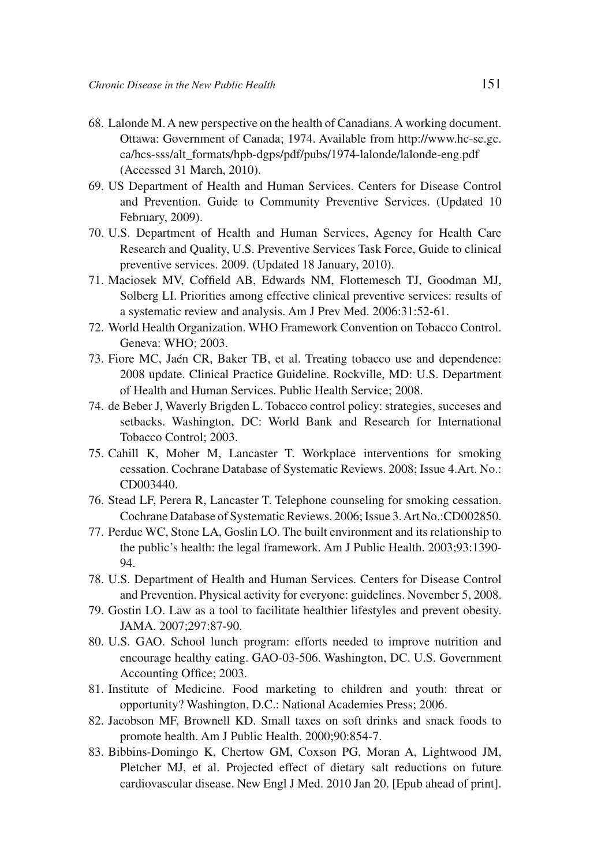- 68. Lalonde M. A new perspective on the health of Canadians. A working document. Ottawa: Government of Canada; 1974. Available from http://www.hc-sc.gc. ca/hcs-sss/alt\_formats/hpb-dgps/pdf/pubs/1974-lalonde/lalonde-eng.pdf (Accessed 31 March, 2010).
- 69. US Department of Health and Human Services. Centers for Disease Control and Prevention. Guide to Community Preventive Services. (Updated 10 February, 2009).
- 70. U.S. Department of Health and Human Services, Agency for Health Care Research and Quality, U.S. Preventive Services Task Force, Guide to clinical preventive services. 2009. (Updated 18 January, 2010).
- 71. Maciosek MV, Coffield AB, Edwards NM, Flottemesch TJ, Goodman MJ, Solberg LI. Priorities among effective clinical preventive services: results of a systematic review and analysis. Am J Prev Med. 2006:31:52-61.
- 72. World Health Organization. WHO Framework Convention on Tobacco Control. Geneva: WHO; 2003.
- 73. Fiore MC, Jaén CR, Baker TB, et al. Treating tobacco use and dependence: 2008 update. Clinical Practice Guideline. Rockville, MD: U.S. Department of Health and Human Services. Public Health Service; 2008.
- 74. de Beber J, Waverly Brigden L. Tobacco control policy: strategies, succeses and setbacks. Washington, DC: World Bank and Research for International Tobacco Control; 2003.
- 75. Cahill K, Moher M, Lancaster T. Workplace interventions for smoking cessation. Cochrane Database of Systematic Reviews. 2008; Issue 4.Art. No.: CD003440.
- 76. Stead LF, Perera R, Lancaster T. Telephone counseling for smoking cessation. Cochrane Database of Systematic Reviews. 2006; Issue 3. Art No.:CD002850.
- 77. Perdue WC, Stone LA, Goslin LO. The built environment and its relationship to the public's health: the legal framework. Am J Public Health. 2003;93:1390- 94.
- 78. U.S. Department of Health and Human Services. Centers for Disease Control and Prevention. Physical activity for everyone: guidelines. November 5, 2008.
- 79. Gostin LO. Law as a tool to facilitate healthier lifestyles and prevent obesity. JAMA. 2007;297:87-90.
- 80. U.S. GAO. School lunch program: efforts needed to improve nutrition and encourage healthy eating. GAO-03-506. Washington, DC. U.S. Government Accounting Office; 2003.
- 81. Institute of Medicine. Food marketing to children and youth: threat or opportunity? Washington, D.C.: National Academies Press; 2006.
- 82. Jacobson MF, Brownell KD. Small taxes on soft drinks and snack foods to promote health. Am J Public Health. 2000;90:854-7.
- 83. Bibbins-Domingo K, Chertow GM, Coxson PG, Moran A, Lightwood JM, Pletcher MJ, et al. Projected effect of dietary salt reductions on future cardiovascular disease. New Engl J Med. 2010 Jan 20. [Epub ahead of print].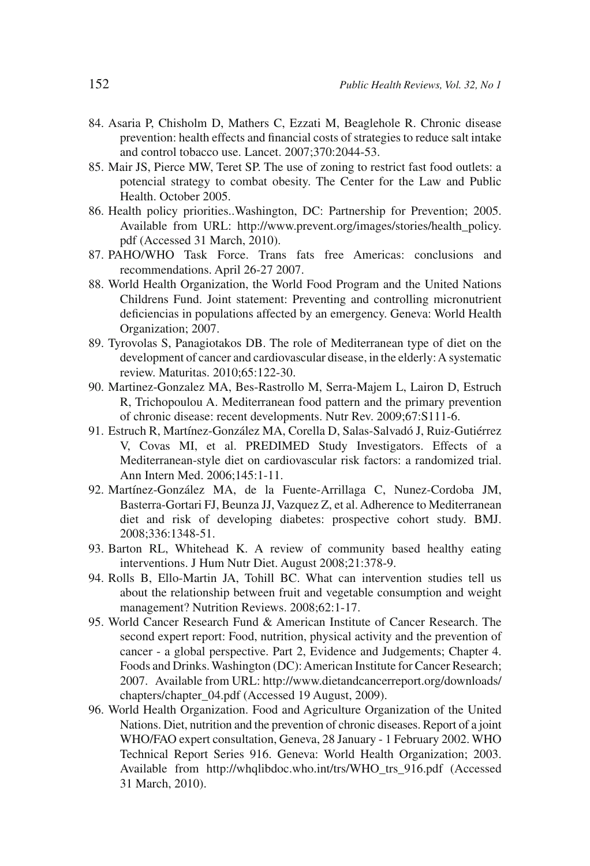- 84. Asaria P, Chisholm D, Mathers C, Ezzati M, Beaglehole R. Chronic disease prevention: health effects and financial costs of strategies to reduce salt intake and control tobacco use. Lancet. 2007;370:2044-53.
- 85. Mair JS, Pierce MW, Teret SP. The use of zoning to restrict fast food outlets: a potencial strategy to combat obesity. The Center for the Law and Public Health. October 2005.
- 86. Health policy priorities..Washington, DC: Partnership for Prevention; 2005. Available from URL: http://www.prevent.org/images/stories/health\_policy. pdf (Accessed 31 March, 2010).
- 87. PAHO/WHO Task Force. Trans fats free Americas: conclusions and recommendations. April 26-27 2007.
- 88. World Health Organization, the World Food Program and the United Nations Childrens Fund. Joint statement: Preventing and controlling micronutrient deficiencias in populations affected by an emergency. Geneva: World Health Organization; 2007.
- 89. Tyrovolas S, Panagiotakos DB. The role of Mediterranean type of diet on the development of cancer and cardiovascular disease, in the elderly: A systematic review. Maturitas. 2010;65:122-30.
- 90. Martinez-Gonzalez MA, Bes-Rastrollo M, Serra-Majem L, Lairon D, Estruch R, Trichopoulou A. Mediterranean food pattern and the primary prevention of chronic disease: recent developments. Nutr Rev. 2009;67:S111-6.
- 91. Estruch R, Martínez-González MA, Corella D, Salas-Salvadó J, Ruiz-Gutiérrez V, Covas MI, et al. PREDIMED Study Investigators. Effects of a Mediterranean-style diet on cardiovascular risk factors: a randomized trial. Ann Intern Med. 2006;145:1-11.
- 92. Martínez-González MA, de la Fuente-Arrillaga C, Nunez-Cordoba JM, Basterra-Gortari FJ, Beunza JJ, Vazquez Z, et al. Adherence to Mediterranean diet and risk of developing diabetes: prospective cohort study. BMJ. 2008;336:1348-51.
- 93. Barton RL, Whitehead K. A review of community based healthy eating interventions. J Hum Nutr Diet. August 2008;21:378-9.
- 94. Rolls B, Ello-Martin JA, Tohill BC. What can intervention studies tell us about the relationship between fruit and vegetable consumption and weight management? Nutrition Reviews. 2008;62:1-17.
- 95. World Cancer Research Fund & American Institute of Cancer Research. The second expert report: Food, nutrition, physical activity and the prevention of cancer - a global perspective. Part 2, Evidence and Judgements; Chapter 4. Foods and Drinks. Washington (DC): American Institute for Cancer Research; 2007. Available from URL: http://www.dietandcancerreport.org/downloads/ chapters/chapter\_04.pdf (Accessed 19 August, 2009).
- 96. World Health Organization. Food and Agriculture Organization of the United Nations. Diet, nutrition and the prevention of chronic diseases. Report of a joint WHO/FAO expert consultation, Geneva, 28 January - 1 February 2002. WHO Technical Report Series 916. Geneva: World Health Organization; 2003. Available from http://whqlibdoc.who.int/trs/WHO\_trs\_916.pdf (Accessed 31 March, 2010).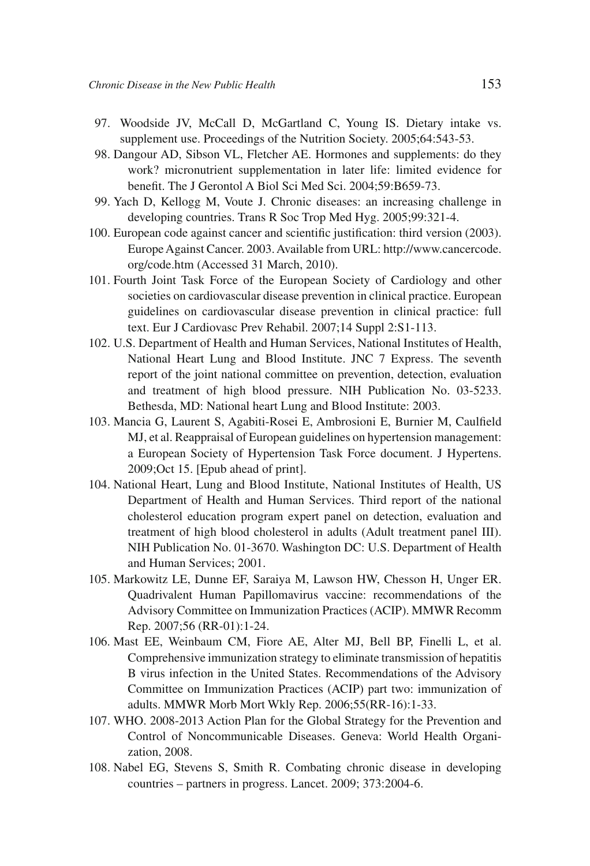- 97. Woodside JV, McCall D, McGartland C, Young IS. Dietary intake vs. supplement use. Proceedings of the Nutrition Society. 2005;64:543-53.
- 98. Dangour AD, Sibson VL, Fletcher AE. Hormones and supplements: do they work? micronutrient supplementation in later life: limited evidence for benefit. The J Gerontol A Biol Sci Med Sci. 2004;59:B659-73.
- 99. Yach D, Kellogg M, Voute J. Chronic diseases: an increasing challenge in developing countries. Trans R Soc Trop Med Hyg. 2005;99:321-4.
- 100. European code against cancer and scientific justification: third version (2003). Europe Against Cancer. 2003. Available from URL: http://www.cancercode. org/code.htm (Accessed 31 March, 2010).
- 101. Fourth Joint Task Force of the European Society of Cardiology and other societies on cardiovascular disease prevention in clinical practice. European guidelines on cardiovascular disease prevention in clinical practice: full text. Eur J Cardiovasc Prev Rehabil. 2007;14 Suppl 2:S1-113.
- 102. U.S. Department of Health and Human Services, National Institutes of Health, National Heart Lung and Blood Institute. JNC 7 Express. The seventh report of the joint national committee on prevention, detection, evaluation and treatment of high blood pressure. NIH Publication No. 03-5233. Bethesda, MD: National heart Lung and Blood Institute: 2003.
- 103. Mancia G, Laurent S, Agabiti-Rosei E, Ambrosioni E, Burnier M, Caulfield MJ, et al. Reappraisal of European guidelines on hypertension management: a European Society of Hypertension Task Force document. J Hypertens. 2009;Oct 15. [Epub ahead of print].
- 104. National Heart, Lung and Blood Institute, National Institutes of Health, US Department of Health and Human Services. Third report of the national cholesterol education program expert panel on detection, evaluation and treatment of high blood cholesterol in adults (Adult treatment panel III). NIH Publication No. 01-3670. Washington DC: U.S. Department of Health and Human Services; 2001.
- 105. Markowitz LE, Dunne EF, Saraiya M, Lawson HW, Chesson H, Unger ER. Quadrivalent Human Papillomavirus vaccine: recommendations of the Advisory Committee on Immunization Practices (ACIP). MMWR Recomm Rep. 2007;56 (RR-01):1-24.
- 106. Mast EE, Weinbaum CM, Fiore AE, Alter MJ, Bell BP, Finelli L, et al. Comprehensive immunization strategy to eliminate transmission of hepatitis B virus infection in the United States. Recommendations of the Advisory Committee on Immunization Practices (ACIP) part two: immunization of adults. MMWR Morb Mort Wkly Rep. 2006;55(RR-16):1-33.
- 107. WHO. 2008-2013 Action Plan for the Global Strategy for the Prevention and Control of Noncommunicable Diseases. Geneva: World Health Organization, 2008.
- 108. Nabel EG, Stevens S, Smith R. Combating chronic disease in developing countries – partners in progress. Lancet. 2009; 373:2004-6.